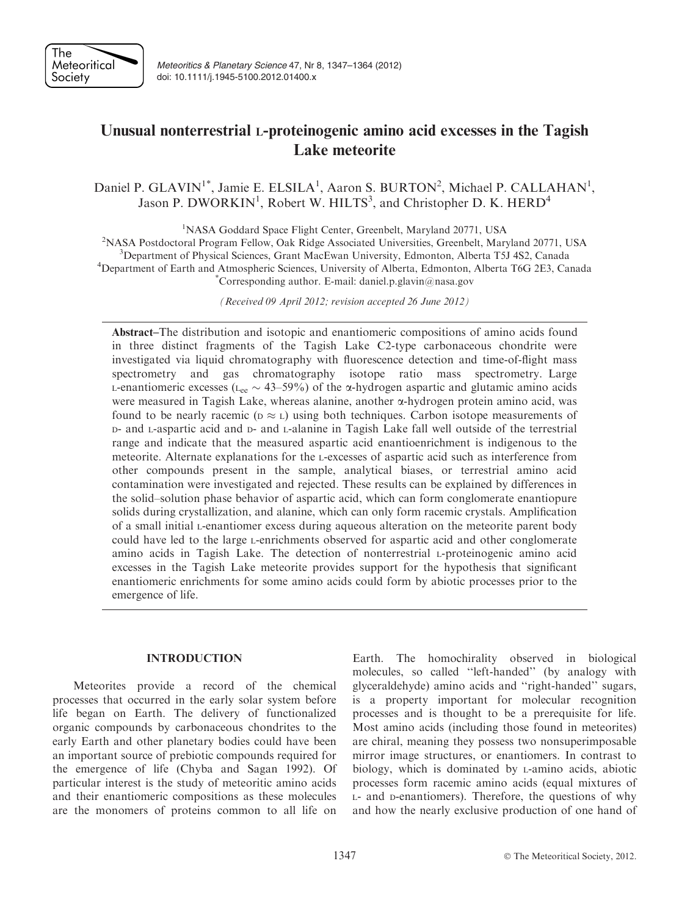

Meteoritics & Planetary Science 47, Nr 8, 1347–1364 (2012) doi: 10.1111/j.1945-5100.2012.01400.x

# Unusual nonterrestrial L-proteinogenic amino acid excesses in the Tagish Lake meteorite

Daniel P. GLAVIN<sup>1\*</sup>, Jamie E. ELSILA<sup>1</sup>, Aaron S. BURTON<sup>2</sup>, Michael P. CALLAHAN<sup>1</sup>, Jason P. DWORKIN<sup>1</sup>, Robert W. HILTS<sup>3</sup>, and Christopher D. K. HERD<sup>4</sup>

<sup>1</sup>NASA Goddard Space Flight Center, Greenbelt, Maryland 20771, USA<br><sup>2</sup>NASA Bostdoctoral Program Fellow, Oak Ridge Associated Universities, Greenbelt, Mar

<sup>2</sup>NASA Postdoctoral Program Fellow, Oak Ridge Associated Universities, Greenbelt, Maryland 20771, USA

<sup>3</sup>Department of Physical Sciences, Grant MacEwan University, Edmonton, Alberta T5J 4S2, Canada

Department of Earth and Atmospheric Sciences, University of Alberta, Edmonton, Alberta T6G 2E3, Canada \* Corresponding author. E-mail: daniel.p.glavin@nasa.gov

(Received 09 April 2012; revision accepted 26 June 2012)

Abstract–The distribution and isotopic and enantiomeric compositions of amino acids found in three distinct fragments of the Tagish Lake C2-type carbonaceous chondrite were investigated via liquid chromatography with fluorescence detection and time-of-flight mass spectrometry and gas chromatography isotope ratio mass spectrometry. Large L-enantiomeric excesses ( $L_{ee} \sim 43-59\%$ ) of the  $\alpha$ -hydrogen aspartic and glutamic amino acids were measured in Tagish Lake, whereas alanine, another  $\alpha$ -hydrogen protein amino acid, was found to be nearly racemic ( $p \approx L$ ) using both techniques. Carbon isotope measurements of D- and L-aspartic acid and D- and L-alanine in Tagish Lake fall well outside of the terrestrial range and indicate that the measured aspartic acid enantioenrichment is indigenous to the meteorite. Alternate explanations for the l-excesses of aspartic acid such as interference from other compounds present in the sample, analytical biases, or terrestrial amino acid contamination were investigated and rejected. These results can be explained by differences in the solid–solution phase behavior of aspartic acid, which can form conglomerate enantiopure solids during crystallization, and alanine, which can only form racemic crystals. Amplification of a small initial l-enantiomer excess during aqueous alteration on the meteorite parent body could have led to the large l-enrichments observed for aspartic acid and other conglomerate amino acids in Tagish Lake. The detection of nonterrestrial l-proteinogenic amino acid excesses in the Tagish Lake meteorite provides support for the hypothesis that significant enantiomeric enrichments for some amino acids could form by abiotic processes prior to the emergence of life.

#### INTRODUCTION

Meteorites provide a record of the chemical processes that occurred in the early solar system before life began on Earth. The delivery of functionalized organic compounds by carbonaceous chondrites to the early Earth and other planetary bodies could have been an important source of prebiotic compounds required for the emergence of life (Chyba and Sagan 1992). Of particular interest is the study of meteoritic amino acids and their enantiomeric compositions as these molecules are the monomers of proteins common to all life on Earth. The homochirality observed in biological molecules, so called ''left-handed'' (by analogy with glyceraldehyde) amino acids and ''right-handed'' sugars, is a property important for molecular recognition processes and is thought to be a prerequisite for life. Most amino acids (including those found in meteorites) are chiral, meaning they possess two nonsuperimposable mirror image structures, or enantiomers. In contrast to biology, which is dominated by l-amino acids, abiotic processes form racemic amino acids (equal mixtures of L- and D-enantiomers). Therefore, the questions of why and how the nearly exclusive production of one hand of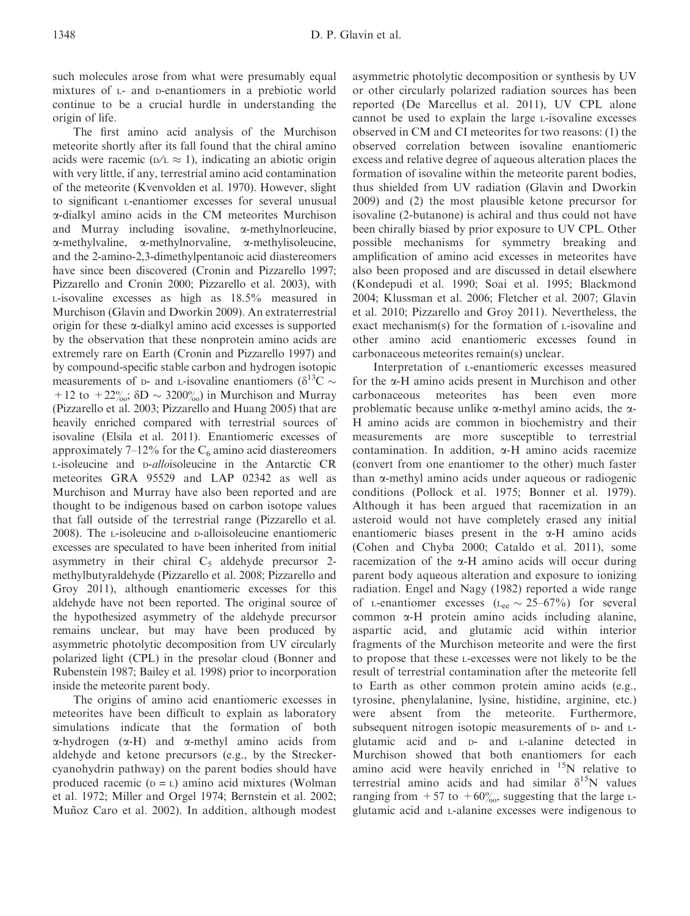such molecules arose from what were presumably equal mixtures of  $L$ - and p-enantiomers in a prebiotic world continue to be a crucial hurdle in understanding the origin of life.

The first amino acid analysis of the Murchison meteorite shortly after its fall found that the chiral amino acids were racemic ( $p/L \approx 1$ ), indicating an abiotic origin with very little, if any, terrestrial amino acid contamination of the meteorite (Kvenvolden et al. 1970). However, slight to significant l-enantiomer excesses for several unusual a-dialkyl amino acids in the CM meteorites Murchison and Murray including isovaline,  $\alpha$ -methylnorleucine,  $\alpha$ -methylvaline,  $\alpha$ -methylnorvaline,  $\alpha$ -methylisoleucine, and the 2-amino-2,3-dimethylpentanoic acid diastereomers have since been discovered (Cronin and Pizzarello 1997; Pizzarello and Cronin 2000; Pizzarello et al. 2003), with l-isovaline excesses as high as 18.5% measured in Murchison (Glavin and Dworkin 2009). An extraterrestrial origin for these a-dialkyl amino acid excesses is supported by the observation that these nonprotein amino acids are extremely rare on Earth (Cronin and Pizzarello 1997) and by compound-specific stable carbon and hydrogen isotopic measurements of  $p$ - and *L*-isovaline enantiomers ( $\delta^{13}C \sim$ + 12 to +22 $\%$ ;  $\delta$ D  $\sim$  3200 $\%$ ) in Murchison and Murray (Pizzarello et al. 2003; Pizzarello and Huang 2005) that are heavily enriched compared with terrestrial sources of isovaline (Elsila et al. 2011). Enantiomeric excesses of approximately 7–12% for the  $C_6$  amino acid diastereomers L-isoleucine and D-alloisoleucine in the Antarctic CR meteorites GRA 95529 and LAP 02342 as well as Murchison and Murray have also been reported and are thought to be indigenous based on carbon isotope values that fall outside of the terrestrial range (Pizzarello et al.  $2008$ ). The *L*-isoleucine and *D*-alloisoleucine enantiomeric excesses are speculated to have been inherited from initial asymmetry in their chiral  $C_5$  aldehyde precursor 2methylbutyraldehyde (Pizzarello et al. 2008; Pizzarello and Groy 2011), although enantiomeric excesses for this aldehyde have not been reported. The original source of the hypothesized asymmetry of the aldehyde precursor remains unclear, but may have been produced by asymmetric photolytic decomposition from UV circularly polarized light (CPL) in the presolar cloud (Bonner and Rubenstein 1987; Bailey et al. 1998) prior to incorporation inside the meteorite parent body.

The origins of amino acid enantiomeric excesses in meteorites have been difficult to explain as laboratory simulations indicate that the formation of both  $\alpha$ -hydrogen ( $\alpha$ -H) and  $\alpha$ -methyl amino acids from aldehyde and ketone precursors (e.g., by the Streckercyanohydrin pathway) on the parent bodies should have produced racemic  $(p = L)$  amino acid mixtures (Wolman et al. 1972; Miller and Orgel 1974; Bernstein et al. 2002; Muñoz Caro et al. 2002). In addition, although modest asymmetric photolytic decomposition or synthesis by UV or other circularly polarized radiation sources has been reported (De Marcellus et al. 2011), UV CPL alone cannot be used to explain the large L-isovaline excesses observed in CM and CI meteorites for two reasons: (1) the observed correlation between isovaline enantiomeric excess and relative degree of aqueous alteration places the formation of isovaline within the meteorite parent bodies, thus shielded from UV radiation (Glavin and Dworkin 2009) and (2) the most plausible ketone precursor for isovaline (2-butanone) is achiral and thus could not have been chirally biased by prior exposure to UV CPL. Other possible mechanisms for symmetry breaking and amplification of amino acid excesses in meteorites have also been proposed and are discussed in detail elsewhere (Kondepudi et al. 1990; Soai et al. 1995; Blackmond 2004; Klussman et al. 2006; Fletcher et al. 2007; Glavin et al. 2010; Pizzarello and Groy 2011). Nevertheless, the exact mechanism(s) for the formation of  $\epsilon$ -isovaline and other amino acid enantiomeric excesses found in carbonaceous meteorites remain(s) unclear.

Interpretation of L-enantiomeric excesses measured for the a-H amino acids present in Murchison and other carbonaceous meteorites has been even more problematic because unlike  $\alpha$ -methyl amino acids, the  $\alpha$ -H amino acids are common in biochemistry and their measurements are more susceptible to terrestrial contamination. In addition,  $\alpha$ -H amino acids racemize (convert from one enantiomer to the other) much faster than a-methyl amino acids under aqueous or radiogenic conditions (Pollock et al. 1975; Bonner et al. 1979). Although it has been argued that racemization in an asteroid would not have completely erased any initial enantiomeric biases present in the  $\alpha$ -H amino acids (Cohen and Chyba 2000; Cataldo et al. 2011), some racemization of the  $\alpha$ -H amino acids will occur during parent body aqueous alteration and exposure to ionizing radiation. Engel and Nagy (1982) reported a wide range of *L*-enantiomer excesses  $(L_{ee} \sim 25-67%)$  for several common a-H protein amino acids including alanine, aspartic acid, and glutamic acid within interior fragments of the Murchison meteorite and were the first to propose that these l-excesses were not likely to be the result of terrestrial contamination after the meteorite fell to Earth as other common protein amino acids (e.g., tyrosine, phenylalanine, lysine, histidine, arginine, etc.) were absent from the meteorite. Furthermore, subsequent nitrogen isotopic measurements of  $D-$  and  $L$ glutamic acid and  $\n D$ - and  $\n L$ -alanine detected in Murchison showed that both enantiomers for each amino acid were heavily enriched in  $15N$  relative to terrestrial amino acids and had similar  $\delta^{15}N$  values ranging from  $+57$  to  $+60\%$ , suggesting that the large Lglutamic acid and l-alanine excesses were indigenous to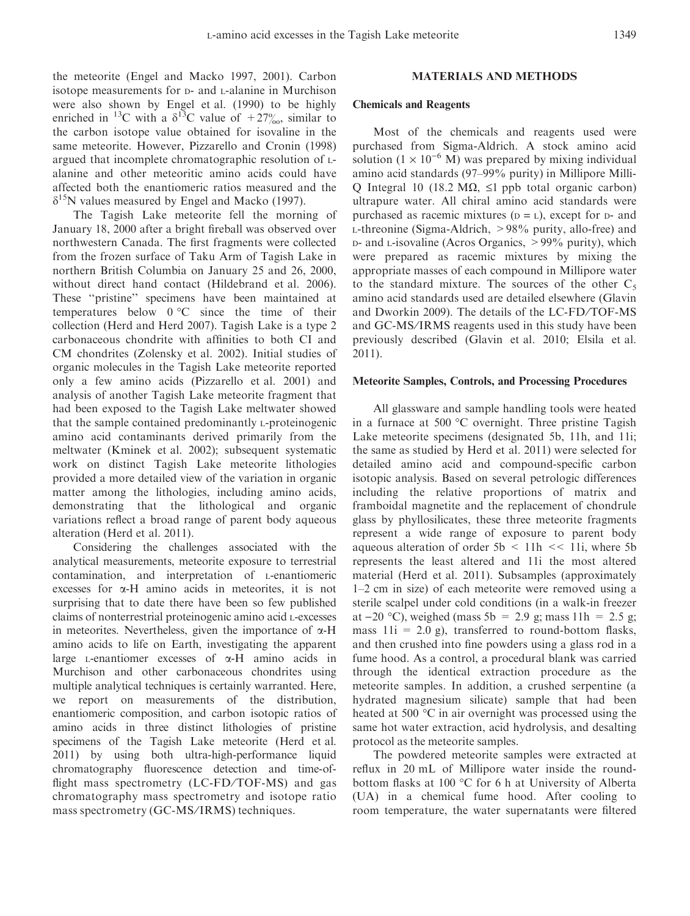the meteorite (Engel and Macko 1997, 2001). Carbon isotope measurements for  $p$ - and *L*-alanine in Murchison were also shown by Engel et al. (1990) to be highly enriched in <sup>13</sup>C with a  $\delta^{13}$ C value of +27%, similar to the carbon isotope value obtained for isovaline in the same meteorite. However, Pizzarello and Cronin (1998) argued that incomplete chromatographic resolution of lalanine and other meteoritic amino acids could have affected both the enantiomeric ratios measured and the  $\delta^{15}$ N values measured by Engel and Macko (1997).

The Tagish Lake meteorite fell the morning of January 18, 2000 after a bright fireball was observed over northwestern Canada. The first fragments were collected from the frozen surface of Taku Arm of Tagish Lake in northern British Columbia on January 25 and 26, 2000, without direct hand contact (Hildebrand et al. 2006). These ''pristine'' specimens have been maintained at temperatures below  $0^{\circ}$ C since the time of their collection (Herd and Herd 2007). Tagish Lake is a type 2 carbonaceous chondrite with affinities to both CI and CM chondrites (Zolensky et al. 2002). Initial studies of organic molecules in the Tagish Lake meteorite reported only a few amino acids (Pizzarello et al. 2001) and analysis of another Tagish Lake meteorite fragment that had been exposed to the Tagish Lake meltwater showed that the sample contained predominantly *L*-proteinogenic amino acid contaminants derived primarily from the meltwater (Kminek et al. 2002); subsequent systematic work on distinct Tagish Lake meteorite lithologies provided a more detailed view of the variation in organic matter among the lithologies, including amino acids, demonstrating that the lithological and organic variations reflect a broad range of parent body aqueous alteration (Herd et al. 2011).

Considering the challenges associated with the analytical measurements, meteorite exposure to terrestrial contamination, and interpretation of L-enantiomeric excesses for  $\alpha$ -H amino acids in meteorites, it is not surprising that to date there have been so few published claims of nonterrestrial proteinogenic amino acid l-excesses in meteorites. Nevertheless, given the importance of  $\alpha$ -H amino acids to life on Earth, investigating the apparent large  $\mu$ -enantiomer excesses of  $\alpha$ -H amino acids in Murchison and other carbonaceous chondrites using multiple analytical techniques is certainly warranted. Here, we report on measurements of the distribution, enantiomeric composition, and carbon isotopic ratios of amino acids in three distinct lithologies of pristine specimens of the Tagish Lake meteorite (Herd et al. 2011) by using both ultra-high-performance liquid chromatography fluorescence detection and time-offlight mass spectrometry (LC-FD/TOF-MS) and gas chromatography mass spectrometry and isotope ratio mass spectrometry (GC-MS/IRMS) techniques.

#### MATERIALS AND METHODS

#### Chemicals and Reagents

Most of the chemicals and reagents used were purchased from Sigma-Aldrich. A stock amino acid solution  $(1 \times 10^{-6} \text{ M})$  was prepared by mixing individual amino acid standards (97–99% purity) in Millipore Milli-Q Integral 10 (18.2 M $\Omega$ ,  $\leq$ 1 ppb total organic carbon) ultrapure water. All chiral amino acid standards were purchased as racemic mixtures  $(p = L)$ , except for  $D$ - and  $L$ -threonine (Sigma-Aldrich,  $>98\%$  purity, allo-free) and  $D-$  and  $L$ -isovaline (Acros Organics,  $> 99\%$  purity), which were prepared as racemic mixtures by mixing the appropriate masses of each compound in Millipore water to the standard mixture. The sources of the other  $C_5$ amino acid standards used are detailed elsewhere (Glavin and Dworkin 2009). The details of the LC-FD/TOF-MS and GC-MS/IRMS reagents used in this study have been previously described (Glavin et al. 2010; Elsila et al. 2011).

#### Meteorite Samples, Controls, and Processing Procedures

All glassware and sample handling tools were heated in a furnace at 500  $\mathrm{^{\circ}C}$  overnight. Three pristine Tagish Lake meteorite specimens (designated 5b, 11h, and 11i; the same as studied by Herd et al. 2011) were selected for detailed amino acid and compound-specific carbon isotopic analysis. Based on several petrologic differences including the relative proportions of matrix and framboidal magnetite and the replacement of chondrule glass by phyllosilicates, these three meteorite fragments represent a wide range of exposure to parent body aqueous alteration of order  $5b \le 11h \le 11i$ , where  $5b$ represents the least altered and 11i the most altered material (Herd et al. 2011). Subsamples (approximately 1–2 cm in size) of each meteorite were removed using a sterile scalpel under cold conditions (in a walk-in freezer at  $-20$  °C), weighed (mass 5b = 2.9 g; mass 11h = 2.5 g; mass  $11i = 2.0$  g), transferred to round-bottom flasks, and then crushed into fine powders using a glass rod in a fume hood. As a control, a procedural blank was carried through the identical extraction procedure as the meteorite samples. In addition, a crushed serpentine (a hydrated magnesium silicate) sample that had been heated at 500  $\degree$ C in air overnight was processed using the same hot water extraction, acid hydrolysis, and desalting protocol as the meteorite samples.

The powdered meteorite samples were extracted at reflux in 20 mL of Millipore water inside the roundbottom flasks at 100 °C for 6 h at University of Alberta (UA) in a chemical fume hood. After cooling to room temperature, the water supernatants were filtered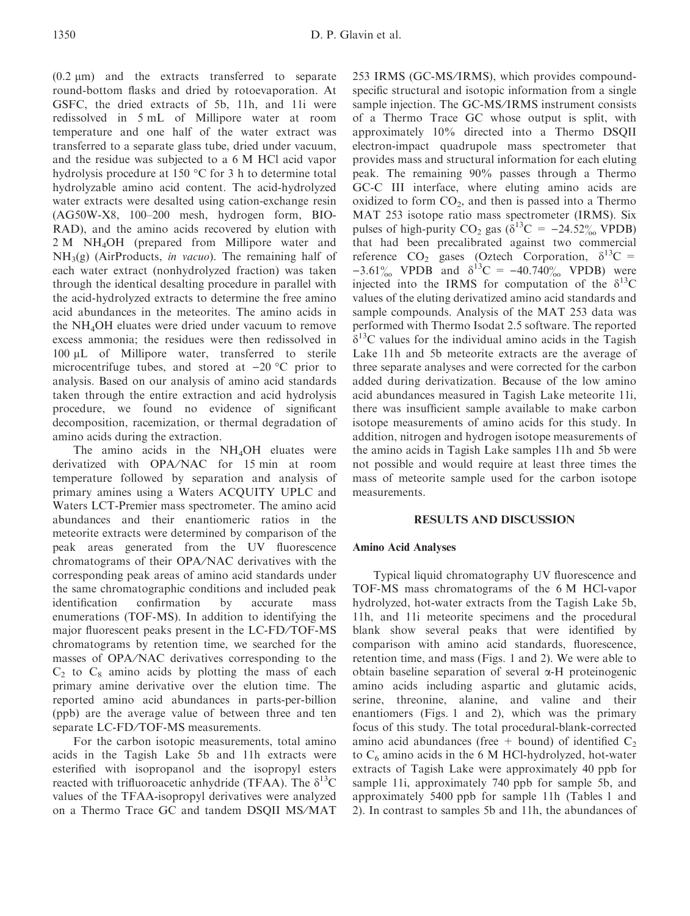$(0.2 \mu m)$  and the extracts transferred to separate round-bottom flasks and dried by rotoevaporation. At GSFC, the dried extracts of 5b, 11h, and 11i were redissolved in 5 mL of Millipore water at room temperature and one half of the water extract was transferred to a separate glass tube, dried under vacuum, and the residue was subjected to a 6 M HCl acid vapor hydrolysis procedure at 150  $\degree$ C for 3 h to determine total hydrolyzable amino acid content. The acid-hydrolyzed water extracts were desalted using cation-exchange resin (AG50W-X8, 100–200 mesh, hydrogen form, BIO-RAD), and the amino acids recovered by elution with 2 M NH4OH (prepared from Millipore water and  $NH<sub>3</sub>(g)$  (AirProducts, *in vacuo*). The remaining half of each water extract (nonhydrolyzed fraction) was taken through the identical desalting procedure in parallel with the acid-hydrolyzed extracts to determine the free amino acid abundances in the meteorites. The amino acids in the NH4OH eluates were dried under vacuum to remove excess ammonia; the residues were then redissolved in 100 μL of Millipore water, transferred to sterile microcentrifuge tubes, and stored at  $-20$  °C prior to analysis. Based on our analysis of amino acid standards taken through the entire extraction and acid hydrolysis procedure, we found no evidence of significant decomposition, racemization, or thermal degradation of amino acids during the extraction.

The amino acids in the NH<sub>4</sub>OH eluates were derivatized with OPA/NAC for 15 min at room temperature followed by separation and analysis of primary amines using a Waters ACQUITY UPLC and Waters LCT-Premier mass spectrometer. The amino acid abundances and their enantiomeric ratios in the meteorite extracts were determined by comparison of the peak areas generated from the UV fluorescence chromatograms of their OPA⁄ NAC derivatives with the corresponding peak areas of amino acid standards under the same chromatographic conditions and included peak identification confirmation by accurate mass enumerations (TOF-MS). In addition to identifying the major fluorescent peaks present in the LC-FD/TOF-MS chromatograms by retention time, we searched for the masses of OPA⁄ NAC derivatives corresponding to the  $C_2$  to  $C_8$  amino acids by plotting the mass of each primary amine derivative over the elution time. The reported amino acid abundances in parts-per-billion (ppb) are the average value of between three and ten separate LC-FD/TOF-MS measurements.

For the carbon isotopic measurements, total amino acids in the Tagish Lake 5b and 11h extracts were esterified with isopropanol and the isopropyl esters reacted with trifluoroacetic anhydride (TFAA). The  $\delta^{13}$ C values of the TFAA-isopropyl derivatives were analyzed on a Thermo Trace GC and tandem DSQII MS/MAT 253 IRMS (GC-MS/IRMS), which provides compoundspecific structural and isotopic information from a single sample injection. The GC-MS/IRMS instrument consists of a Thermo Trace GC whose output is split, with approximately 10% directed into a Thermo DSQII electron-impact quadrupole mass spectrometer that provides mass and structural information for each eluting peak. The remaining 90% passes through a Thermo GC-C III interface, where eluting amino acids are oxidized to form  $CO<sub>2</sub>$ , and then is passed into a Thermo MAT 253 isotope ratio mass spectrometer (IRMS). Six pulses of high-purity  $CO_2$  gas ( $\delta^{13}C = -24.52\%$  VPDB) that had been precalibrated against two commercial reference  $CO_2$  gases (Oztech Corporation,  $\delta^{13}C =$  $-3.61\%$  VPDB and  $\delta^{13}$ C =  $-40.740\%$  VPDB) were injected into the IRMS for computation of the  $\delta^{13}$ C values of the eluting derivatized amino acid standards and sample compounds. Analysis of the MAT 253 data was performed with Thermo Isodat 2.5 software. The reported  $\delta^{13}$ C values for the individual amino acids in the Tagish Lake 11h and 5b meteorite extracts are the average of three separate analyses and were corrected for the carbon added during derivatization. Because of the low amino acid abundances measured in Tagish Lake meteorite 11i, there was insufficient sample available to make carbon isotope measurements of amino acids for this study. In addition, nitrogen and hydrogen isotope measurements of the amino acids in Tagish Lake samples 11h and 5b were not possible and would require at least three times the mass of meteorite sample used for the carbon isotope measurements.

## RESULTS AND DISCUSSION

### Amino Acid Analyses

Typical liquid chromatography UV fluorescence and TOF-MS mass chromatograms of the 6 M HCl-vapor hydrolyzed, hot-water extracts from the Tagish Lake 5b, 11h, and 11i meteorite specimens and the procedural blank show several peaks that were identified by comparison with amino acid standards, fluorescence, retention time, and mass (Figs. 1 and 2). We were able to obtain baseline separation of several  $\alpha$ -H proteinogenic amino acids including aspartic and glutamic acids, serine, threonine, alanine, and valine and their enantiomers (Figs. 1 and 2), which was the primary focus of this study. The total procedural-blank-corrected amino acid abundances (free + bound) of identified  $C_2$ to  $C_6$  amino acids in the 6 M HCl-hydrolyzed, hot-water extracts of Tagish Lake were approximately 40 ppb for sample 11i, approximately 740 ppb for sample 5b, and approximately 5400 ppb for sample 11h (Tables 1 and 2). In contrast to samples 5b and 11h, the abundances of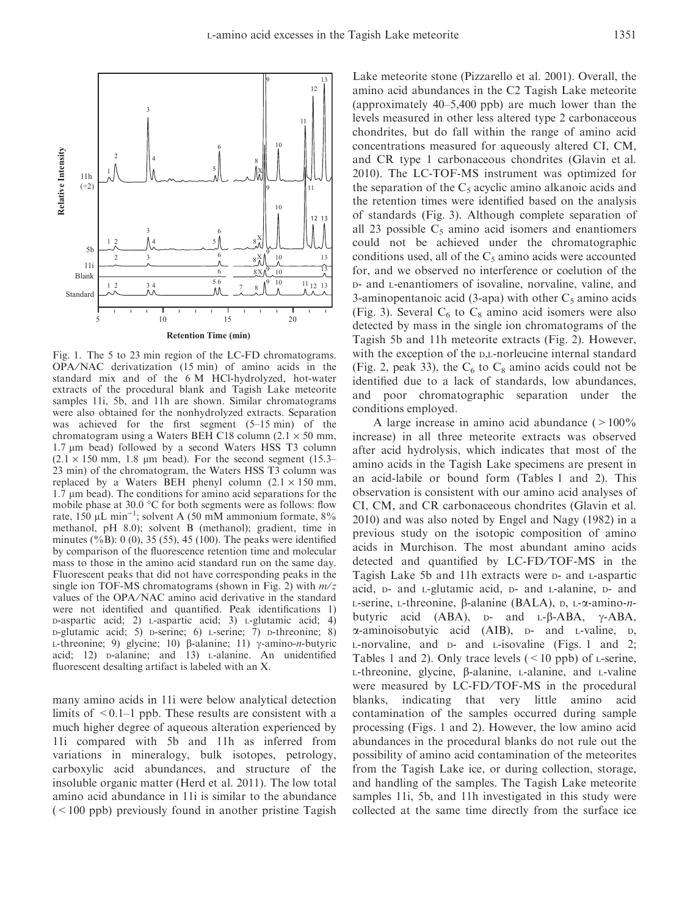

Fig. 1. The 5 to 23 min region of the LC-FD chromatograms. OPA/NAC derivatization (15 min) of amino acids in the standard mix and of the 6 M HCl-hydrolyzed, hot-water extracts of the procedural blank and Tagish Lake meteorite samples 11i, 5b, and 11h are shown. Similar chromatograms were also obtained for the nonhydrolyzed extracts. Separation was achieved for the first segment (5–15 min) of the chromatogram using a Waters BEH C18 column (2.1  $\times$  50 mm, 1.7 µm bead) followed by a second Waters HSS T3 column  $(2.1 \times 150 \text{ mm}, 1.8 \text{ }\mu\text{m}$  bead). For the second segment  $(15.3-$ 23 min) of the chromatogram, the Waters HSS T3 column was replaced by a Waters BEH phenyl column  $(2.1 \times 150 \text{ mm})$ , 1.7  $\mu$ m bead). The conditions for amino acid separations for the mobile phase at 30.0  $\degree$ C for both segments were as follows: flow rate,  $150 \mu L \text{ min}^{-1}$ ; solvent A (50 mM ammonium formate,  $8\%$ methanol, pH 8.0); solvent B (methanol); gradient, time in minutes  $(\% B)$ : 0 (0), 35 (55), 45 (100). The peaks were identified by comparison of the fluorescence retention time and molecular mass to those in the amino acid standard run on the same day. Fluorescent peaks that did not have corresponding peaks in the single ion TOF-MS chromatograms (shown in Fig. 2) with  $m/z$ values of the OPA/NAC amino acid derivative in the standard were not identified and quantified. Peak identifications 1) D-aspartic acid; 2) L-aspartic acid; 3) L-glutamic acid; 4)  $p$ -glutamic acid; 5)  $p$ -serine; 6)  $L$ -serine; 7)  $p$ -threonine; 8) L-threonine; 9) glycine; 10)  $\beta$ -alanine; 11)  $\gamma$ -amino-*n*-butyric acid; 12) p-alanine; and 13) L-alanine. An unidentified fluorescent desalting artifact is labeled with an X.

many amino acids in 11i were below analytical detection limits of  $\leq 0.1-1$  ppb. These results are consistent with a much higher degree of aqueous alteration experienced by 11i compared with 5b and 11h as inferred from variations in mineralogy, bulk isotopes, petrology, carboxylic acid abundances, and structure of the insoluble organic matter (Herd et al. 2011). The low total amino acid abundance in 11i is similar to the abundance  $(< 100$  ppb) previously found in another pristine Tagish

Lake meteorite stone (Pizzarello et al. 2001). Overall, the amino acid abundances in the C2 Tagish Lake meteorite (approximately 40–5,400 ppb) are much lower than the levels measured in other less altered type 2 carbonaceous chondrites, but do fall within the range of amino acid concentrations measured for aqueously altered CI, CM, and CR type 1 carbonaceous chondrites (Glavin et al. 2010). The LC-TOF-MS instrument was optimized for the separation of the  $C_5$  acyclic amino alkanoic acids and the retention times were identified based on the analysis of standards (Fig. 3). Although complete separation of all 23 possible  $C_5$  amino acid isomers and enantiomers could not be achieved under the chromatographic conditions used, all of the  $C_5$  amino acids were accounted for, and we observed no interference or coelution of the D- and L-enantiomers of isovaline, norvaline, valine, and 3-aminopentanoic acid (3-apa) with other  $C_5$  amino acids (Fig. 3). Several  $C_6$  to  $C_8$  amino acid isomers were also detected by mass in the single ion chromatograms of the Tagish 5b and 11h meteorite extracts (Fig. 2). However, with the exception of the  $D$ , L-norleucine internal standard (Fig. 2, peak 33), the  $C_6$  to  $C_8$  amino acids could not be identified due to a lack of standards, low abundances, and poor chromatographic separation under the conditions employed.

A large increase in amino acid abundance  $(>100\%$ increase) in all three meteorite extracts was observed after acid hydrolysis, which indicates that most of the amino acids in the Tagish Lake specimens are present in an acid-labile or bound form (Tables 1 and 2). This observation is consistent with our amino acid analyses of CI, CM, and CR carbonaceous chondrites (Glavin et al. 2010) and was also noted by Engel and Nagy (1982) in a previous study on the isotopic composition of amino acids in Murchison. The most abundant amino acids detected and quantified by LC-FD/TOF-MS in the Tagish Lake 5b and 11h extracts were  $D-$  and  $L-$ aspartic acid, p- and L-glutamic acid, p- and L-alanine, p- and  $L$ -serine,  $L$ -threonine,  $\beta$ -alanine (BALA),  $D$ ,  $L$ - $\alpha$ -amino-nbutyric acid (ABA),  $D$ - and  $L$ - $\beta$ -ABA,  $\gamma$ -ABA,  $\alpha$ -aminoisobutyic acid (AIB),  $\alpha$ - and *L*-valine,  $\alpha$ ,  $L$ -norvaline, and  $L$ -isovaline (Figs. 1 and 2; Tables 1 and 2). Only trace levels  $($  < 10 ppb) of  $\iota$ -serine,  $L$ -threonine, glycine,  $\beta$ -alanine,  $L$ -alanine, and  $L$ -valine were measured by LC-FD/TOF-MS in the procedural blanks, indicating that very little amino acid contamination of the samples occurred during sample processing (Figs. 1 and 2). However, the low amino acid abundances in the procedural blanks do not rule out the possibility of amino acid contamination of the meteorites from the Tagish Lake ice, or during collection, storage, and handling of the samples. The Tagish Lake meteorite samples 11i, 5b, and 11h investigated in this study were collected at the same time directly from the surface ice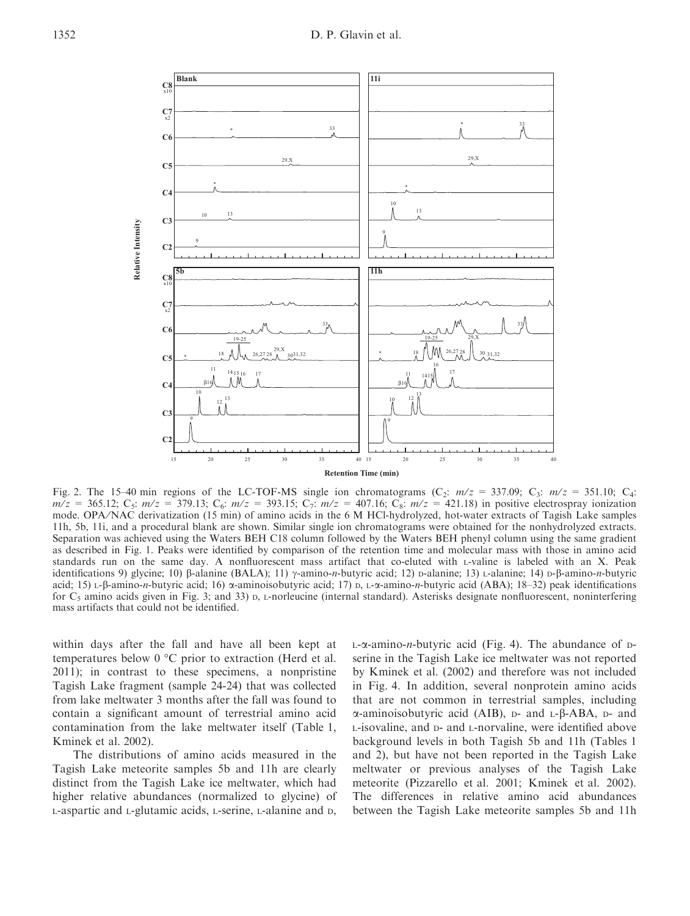

Fig. 2. The 15–40 min regions of the LC-TOF-MS single ion chromatograms (C<sub>2</sub>:  $m/z = 337.09$ ; C<sub>3</sub>:  $m/z = 351.10$ ; C<sub>4</sub>:  $m/z = 365.12$ ; C<sub>5</sub>:  $m/z = 379.13$ ; C<sub>6</sub>:  $m/z = 393.15$ ; C<sub>7</sub>:  $m/z = 407.16$ ; C<sub>8</sub>:  $m/z = 421.18$ ) in positive electrospray ionization mode. OPA/NAC derivatization (15 min) of amino acids in the 6 M HCl-hydrolyzed, hot-water extracts of Tagish Lake samples 11h, 5b, 11i, and a procedural blank are shown. Similar single ion chromatograms were obtained for the nonhydrolyzed extracts. Separation was achieved using the Waters BEH C18 column followed by the Waters BEH phenyl column using the same gradient as described in Fig. 1. Peaks were identified by comparison of the retention time and molecular mass with those in amino acid standards run on the same day. A nonfluorescent mass artifact that co-eluted with l-valine is labeled with an X. Peak identifications 9) glycine; 10)  $\beta$ -alanine (BALA); 11)  $\gamma$ -amino-*n*-butyric acid; 12)  $\beta$ -alanine; 13)  $\alpha$ -alanine; 14)  $\beta$ - $\beta$ -amino-*n*-butyric acid; 15) L- $\beta$ -amino-n-butyric acid; 16)  $\alpha$ -aminoisobutyric acid; 17) p, L- $\alpha$ -amino-n-butyric acid (ABA); 18–32) peak identifications for  $C_5$  amino acids given in Fig. 3; and 33) p, L-norleucine (internal standard). Asterisks designate nonfluorescent, noninterfering mass artifacts that could not be identified.

within days after the fall and have all been kept at temperatures below  $0^{\circ}$ C prior to extraction (Herd et al. 2011); in contrast to these specimens, a nonpristine Tagish Lake fragment (sample 24-24) that was collected from lake meltwater 3 months after the fall was found to contain a significant amount of terrestrial amino acid contamination from the lake meltwater itself (Table 1, Kminek et al. 2002).

The distributions of amino acids measured in the Tagish Lake meteorite samples 5b and 11h are clearly distinct from the Tagish Lake ice meltwater, which had higher relative abundances (normalized to glycine) of  $L$ -aspartic and  $L$ -glutamic acids,  $L$ -serine,  $L$ -alanine and  $D$ ,  $L$ - $\alpha$ -amino-*n*-butyric acid (Fig. 4). The abundance of  $D$ serine in the Tagish Lake ice meltwater was not reported by Kminek et al. (2002) and therefore was not included in Fig. 4. In addition, several nonprotein amino acids that are not common in terrestrial samples, including  $\alpha$ -aminoisobutyric acid (AIB),  $\beta$ - and  $\alpha$ - $\beta$ -ABA,  $\beta$ - and L-isovaline, and D- and L-norvaline, were identified above background levels in both Tagish 5b and 11h (Tables 1 and 2), but have not been reported in the Tagish Lake meltwater or previous analyses of the Tagish Lake meteorite (Pizzarello et al. 2001; Kminek et al. 2002). The differences in relative amino acid abundances between the Tagish Lake meteorite samples 5b and 11h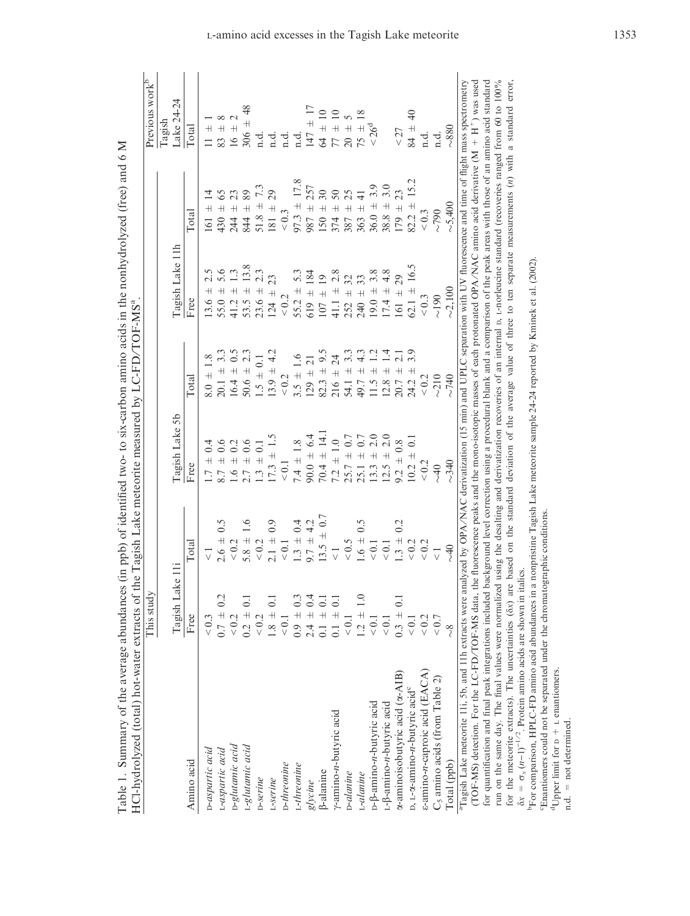| where the company of the control of the control of the control of the control of the control of the control of the control of the control of the control of the control of the control of the control of the control of the co<br>indantitad two to six carbon amuno acid in the nonlavdroll<br>$\mathbf{M}$<br>נ<br>ג<br>د<br>ر<br>י לאומי היי לא היי היי היי היי היי היי ה<br>io datimi | $\ddot{\phantom{0}}$<br>こうせいりょう フリコンコンコン<br>こくくくく<br>--------<br>$\sim$ $\sim$ $\sim$ $\sim$ $\sim$<br>$\ddot{\phantom{0}}$<br>$\sim$ $\sim$ $\sim$ $\sim$ $\sim$ $\sim$<br>when you content<br>.<br>E<br>$\frac{1}{\sqrt{2}}$<br>へいききょう |
|-------------------------------------------------------------------------------------------------------------------------------------------------------------------------------------------------------------------------------------------------------------------------------------------------------------------------------------------------------------------------------------------|------------------------------------------------------------------------------------------------------------------------------------------------------------------------------------------------------------------------------------------|
|                                                                                                                                                                                                                                                                                                                                                                                           |                                                                                                                                                                                                                                          |
|                                                                                                                                                                                                                                                                                                                                                                                           |                                                                                                                                                                                                                                          |
|                                                                                                                                                                                                                                                                                                                                                                                           |                                                                                                                                                                                                                                          |
|                                                                                                                                                                                                                                                                                                                                                                                           |                                                                                                                                                                                                                                          |
|                                                                                                                                                                                                                                                                                                                                                                                           | $\ddot{\phantom{0}}$                                                                                                                                                                                                                     |
|                                                                                                                                                                                                                                                                                                                                                                                           |                                                                                                                                                                                                                                          |

|                                                                                                                                                                                              | This study      |                    |                                  |                        |                                                                                                                                     |                                           | Previous work <sup>b</sup> |
|----------------------------------------------------------------------------------------------------------------------------------------------------------------------------------------------|-----------------|--------------------|----------------------------------|------------------------|-------------------------------------------------------------------------------------------------------------------------------------|-------------------------------------------|----------------------------|
|                                                                                                                                                                                              |                 |                    |                                  |                        |                                                                                                                                     |                                           | Tagish                     |
|                                                                                                                                                                                              | Tagish Lake 11i |                    | Tagish Lake 5b                   |                        | Tagish Lake 11h                                                                                                                     |                                           | Lake 24-24                 |
| Amino acid                                                                                                                                                                                   | Free            | $\rm Total$        | Free                             | Total                  | Free                                                                                                                                | Total                                     | Total                      |
| D-aspartic acid                                                                                                                                                                              | < 0.3           |                    | $\overline{+}$                   | $8.0 \pm 1.8$          | $13.6 \pm 2.5$                                                                                                                      | $\pm 19$                                  | $\frac{1}{11}$             |
| L-aspartic acid                                                                                                                                                                              | $0.7 \pm 0.2$   | 0.5<br>$2.6 \pm$   | 0.6<br>$\overline{+}$            | $20.1 \pm 3.3$         | 5.6<br>55.0 $\pm$                                                                                                                   | $430 \pm$                                 | $\infty$<br>$83 +$         |
| D-glutamic acid                                                                                                                                                                              | 0.2             | $< 0.2$            | $\overline{+}$<br>$\overline{9}$ | $6.4 \pm 0.5$          | $41.2 \pm 1.3$                                                                                                                      | $\pm 23$<br>$\frac{1}{24}$                | $16 \pm 2$                 |
| L-glutamic acid                                                                                                                                                                              | $0.2 \pm 0.1$   | $5.8 \pm 1.6$      | $2.7 \pm 0.6$                    | $50.6 \pm 2.3$         | $53.5 \pm 13.8$                                                                                                                     | 89<br>$\overline{+}$<br>844               | $306 \pm 48$               |
| D-serine                                                                                                                                                                                     | $< 0.2$         | $< 0.2$            | $1.3 \pm 0.1$                    | $1.5 \pm 0.1$          | $23.6 \pm 2.3$                                                                                                                      | $51.8 \pm 7.3$                            | n.d.                       |
| L-serine                                                                                                                                                                                     | $1.8 \pm 0.1$   | 0.9<br>$2.1 +$     | $17.3 +$                         | $13.9 \pm 4.2$         | 23<br>$124 \pm$                                                                                                                     | 29<br>$181 \pm$                           | $\vec{n}$ .                |
| <b>D-threonine</b>                                                                                                                                                                           | $\leq 0.1$      | $< 0.1$            | < 0.1                            | 0.2                    | 0.2                                                                                                                                 | < 0.3                                     | n.d.                       |
| L-threonine                                                                                                                                                                                  | $0.9 \pm 0.3$   | $1.3 \pm 0.4$      | $7.4 \pm 1.8$                    | $3.5 \pm 1.6$          | $55.2 \pm 5.3$                                                                                                                      | $97.3 \pm 17.8$                           | $\vec{n}$ .                |
| glycine                                                                                                                                                                                      | $2.4 \pm 0.4$   | $9.7 \pm 4.2$      | $90.0 \pm 6.4$                   | $129 \pm 21$           | $619 \pm 184$                                                                                                                       | 257<br>$+ 186$                            | $147 \pm 17$               |
| <b>B-alanine</b>                                                                                                                                                                             | $0.1 \pm 0.1$   | $13.5 \pm 0.7$     | $70.4 \pm 14.1$                  | $82.3 \pm 9.5$         | $107 + 19$                                                                                                                          | $30\,$<br>$150 \pm$                       | 64 ± 10                    |
| y-amino-n-butyric acid                                                                                                                                                                       | $0.1 \pm 0.1$   | $\overline{\vee}$  | $7.2 \pm 1.0$                    | $216 \pm 24$           | $41.1 \pm 2.8$                                                                                                                      | $374 \pm 50$                              | $\equiv$<br>$+ 17$         |
| <b>D-alanine</b>                                                                                                                                                                             | $< 0.1$         | $< 0.5$            | $25.7 \pm 0.7$                   | 54.1 ±                 | 32<br>$252 \pm$                                                                                                                     | 25<br>387 $\pm$                           | $20 \pm$                   |
| L-alanine                                                                                                                                                                                    | $1.2 \pm 1.0$   | $1.6 \pm 0.5$      | $25.1 \pm 0.7$                   | 49.7 ±                 | $240 \pm 33$                                                                                                                        | $\frac{4}{5}$<br>$\frac{1}{\pm 1}$<br>363 | $\frac{8}{18}$<br>$+57$    |
| D-B-amino-n-butyric acid                                                                                                                                                                     | $< 0.1$         | $< 0.1$            | 2.0<br>$\overline{+}$<br>13.3    | $\overline{a}$<br>11.5 | $9.0 + 3.8$                                                                                                                         | $36.0 \pm 3.9$                            | $< 26^{\rm d}$             |
| L-B-amino-n-butyric acid                                                                                                                                                                     | $< 0.1$         | $< 0.1$            | $12.5 \pm 2.0$                   | $\overline{+}$<br>12.8 | $17.4 \pm 4.8$                                                                                                                      | $38.8 \pm$                                |                            |
| x-aminoisobutyric acid (x-AIB)                                                                                                                                                               | $0.3 \pm 0.1$   | 0.2<br>$1.3 \pm 1$ | $9.2 \pm 0.8$                    | $\overline{+}$<br>20.7 | 29<br>$\pm$ 191                                                                                                                     | 23<br>$\overline{+}$<br>179               | < 27                       |
| D, L-a-amino-n-butyric acid <sup>e</sup>                                                                                                                                                     | $< 0.1$         | $\leq 0.2$         | $10.2 \pm 0.1$                   | 3.9<br>$^+$<br>24.2    | 16.5<br>62.1 $\pm$                                                                                                                  | $82.2 \pm 15.2$                           | $\sqrt{4}$<br>$84 \pm$     |
| 8-amino-n-caproic acid (EACA)                                                                                                                                                                | $< 0.2$         | $< 0.2$            | 0.2                              | ${}_{0.2}$             | $\leq 0.3$                                                                                                                          | $\leq 0.3$                                | n.d.                       |
| $C_5$ amino acids (from Table 2)                                                                                                                                                             | $< 0.7$         | $\overline{\vee}$  | $\widetilde{40}$                 | ~210                   | $\sim$ 190                                                                                                                          | $~\sim$ 790                               | $\mathbf{n}.\mathbf{d}.$   |
| Total (ppb)                                                                                                                                                                                  |                 | $\sim 40$          | ~540                             | $\sim$ 740             | $-2,100$                                                                                                                            | $\sim$ 5,400                              | $-880$                     |
| <sup>ar</sup> lagish Lake meteorite 11i, 5b, and 11h extracts were analyzed by OPA/NAC derivatization (15 min) and UPLC separation with UV fluorescence and time of flight mass spectrometry |                 |                    |                                  |                        |                                                                                                                                     |                                           |                            |
| (TOF-MS) detection. For the LC-FD/TOF-MS data,                                                                                                                                               |                 |                    |                                  |                        | the fluorescence peaks and the mono-isotopic masses of each protonated OPA/NAC amino acid derivative (M + H <sup>+</sup> ) was used |                                           |                            |
| for quantification and final peak integrations included                                                                                                                                      |                 |                    |                                  |                        | background level correction using a procedural blank and a comparison of the peak areas with those of an amino acid standard        |                                           |                            |

run on the same day. The final values were normalized using the desalting and derivatization recoveries of an internal p, L-norleucine standard (recoveries ranged from 60 to 100%) for the meteorite extracts). The uncertainties ( $\delta x$ ) are based on the standard deviation of the average value of three to ten separate measurements (*n*) with a standard error, run on the same day. The final values were normalized using the desalting and derivatization recoveries of an internal p, r-norleucine standard (recoveries ranged from 60 to 100% for the meteorie extracts). The uncertaint  $\sigma_x (n-1)^{-1/2}$ . Protein amino acids are shown in italics.

bFor comparison, HPLC-FD amino acid abundances in a nonpristine Tagish Lake meteorite sample 24-24 reported by Kminek et al. (2002).

cEnantiomers could not be separated under the chromatographic conditions.

 ${}^{d}$ Upper limit for  $p + L$  enantiomers.  $d_{\text{Upper limit for } p + L \text{ canations}}$ 

 $n.d. = not determined.$  $n.d. = not determined$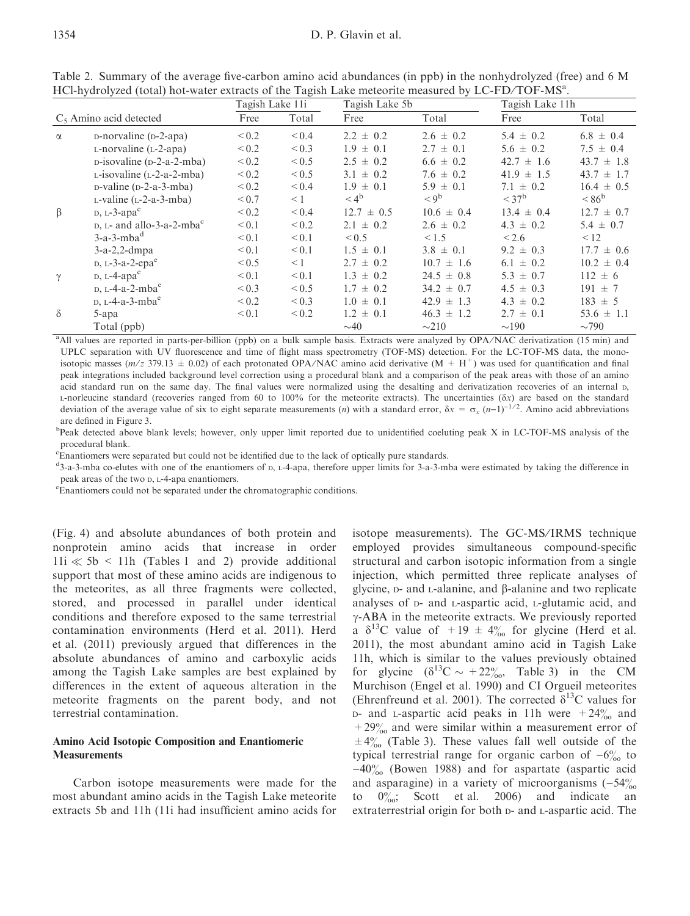|          |                                             | Tagish Lake 11i |            | Tagish Lake 5b   |                             | Tagish Lake 11h   |                   |
|----------|---------------------------------------------|-----------------|------------|------------------|-----------------------------|-------------------|-------------------|
|          | C <sub>5</sub> Amino acid detected          | Free            | Total      | Free             | Total                       | Free              | Total             |
| $\alpha$ | D-norvaline (D-2-apa)                       | ${}_{0.2}$      | ${}_{0.4}$ | $2.2 \pm 0.2$    | $2.6 \pm 0.2$               | $5.4 \pm 0.2$     | $6.8 \pm 0.4$     |
|          | L-norvaline (L-2-apa)                       | ${}_{0.2}$      | ${}_{0.3}$ | $1.9 \pm 0.1$    | $2.7 \pm 0.1$               | $5.6 \pm 0.2$     | $7.5 \pm 0.4$     |
|          | D-isovaline (D-2-a-2-mba)                   | ${}_{0.2}$      | ${}_{0.5}$ | $2.5 \pm 0.2$    | $6.6 \pm 0.2$               | 42.7<br>$\pm$ 1.6 | $43.7 \pm 1.8$    |
|          | $L$ -isovaline ( $L$ -2-a-2-mba)            | ${}_{0.2}$      | ${}_{0.5}$ | $3.1 \pm 0.2$    | $7.6 \pm 0.2$               | $41.9 \pm 1.5$    | $43.7 \pm 1.7$    |
|          | $p-value (p-2-a-3-mba)$                     | ${}_{0.2}$      | ${}_{0.4}$ | $1.9 \pm 0.1$    | $5.9 \pm 0.1$               | $7.1 \pm 0.2$     | $16.4 \pm 0.5$    |
|          | $L-value (L-2-a-3-mba)$                     | ${}_{0.7}$      | < 1        | $\leq 4^{\rm b}$ | $\langle 9^{\rm b} \rangle$ | $< 37^{\rm b}$    | $\leq 86^{\rm b}$ |
| $\beta$  | $D, L-3$ -apa $c$                           | ${}_{0.2}$      | ${}_{0.4}$ | $12.7 \pm 0.5$   | $10.6 \pm 0.4$              | $13.4 \pm 0.4$    | $12.7 \pm 0.7$    |
|          | $D$ , $L$ - and allo-3-a-2-mba <sup>c</sup> | ${}_{0.1}$      | ${}_{0.2}$ | $2.1 \pm 0.2$    | $2.6 \pm 0.2$               | $4.3 \pm 0.2$     | $5.4 \pm 0.7$     |
|          | $3-a-3-mbad$                                | ${}_{0.1}$      | ${}_{0.1}$ | ${}_{0.5}$       | < 1.5                       | < 2.6             | $\leq 12$         |
|          | $3-a-2,2-dmpa$                              | ${}_{0.1}$      | ${}_{0.1}$ | $1.5 \pm 0.1$    | $3.8 \pm 0.1$               | $9.2 \pm 0.3$     | $17.7 \pm 0.6$    |
|          | $D, L-3-a-2-epa^e$                          | ${}_{0.5}$      | $\leq$ 1   | $2.7 \pm 0.2$    | $10.7 \pm 1.6$              | $6.1 \pm 0.2$     | $10.2 \pm 0.4$    |
| γ        | $D, L-4$ -apa $c$                           | ${}_{0.1}$      | ${}_{0.1}$ | $1.3 \pm 0.2$    | $24.5 \pm 0.8$              | $5.3 \pm 0.7$     | $112 \pm 6$       |
|          | $D, L-4-a-2-mba^e$                          | ${}_{0.3}$      | ${}_{0.5}$ | $1.7 \pm 0.2$    | $34.2 \pm 0.7$              | 4.5<br>$\pm$ 0.3  | $191 \pm 7$       |
|          | $D, L-4-a-3-mba^e$                          | ${}_{0.2}$      | ${}_{0.3}$ | $1.0 \pm 0.1$    | 42.9<br>$\pm$ 1.3           | $\pm$ 0.2<br>4.3  | $183 \pm 5$       |
| $\delta$ | 5-apa                                       | < 0.1           | ${}_{0.2}$ | $1.2 \pm 0.1$    | $46.3 \pm 1.2$              | $2.7 \pm 0.1$     | $53.6 \pm 1.1$    |
|          | Total (ppb)                                 |                 |            | $\sim 40$        | $\sim$ 210                  | $\sim$ 190        | $\sim$ 790        |

Table 2. Summary of the average five-carbon amino acid abundances (in ppb) in the nonhydrolyzed (free) and 6 M HCl-hydrolyzed (total) hot-water extracts of the Tagish Lake meteorite measured by LC-FD/TOF-MS<sup>a</sup>.

a<br>All values are reported in parts-per-billion (ppb) on a bulk sample basis. Extracts were analyzed by OPA/NAC derivatization (15 min) and UPLC separation with UV fluorescence and time of flight mass spectrometry (TOF-MS) detection. For the LC-TOF-MS data, the monoisotopic masses ( $m/z$  379.13  $\pm$  0.02) of each protonated OPA/NAC amino acid derivative (M + H<sup>+</sup>) was used for quantification and final peak integrations included background level correction using a procedural blank and a comparison of the peak areas with those of an amino acid standard run on the same day. The final values were normalized using the desalting and derivatization recoveries of an internal p,  $L$ -norleucine standard (recoveries ranged from 60 to 100% for the meteorite extracts). The uncertainties ( $\delta x$ ) are based on the standard deviation of the average value of six to eight separate measurements (*n*) with a standard error,  $\delta x = \sigma_x (n-1)^{-1/2}$ . Amino acid abbreviations are defined in Figure 3.

<sup>b</sup>Peak detected above blank levels; however, only upper limit reported due to unidentified coeluting peak X in LC-TOF-MS analysis of the procedural blank.

<sup>c</sup>Enantiomers were separated but could not be identified due to the lack of optically pure standards.

 $d$ 3-a-3-mba co-elutes with one of the enantiomers of  $p$ ,  $L$ -4-apa, therefore upper limits for 3-a-3-mba were estimated by taking the difference in peak areas of the two  $D$ , L-4-apa enantiomers.

e Enantiomers could not be separated under the chromatographic conditions.

(Fig. 4) and absolute abundances of both protein and nonprotein amino acids that increase in order  $11i \ll 5b \le 11h$  (Tables 1 and 2) provide additional support that most of these amino acids are indigenous to the meteorites, as all three fragments were collected, stored, and processed in parallel under identical conditions and therefore exposed to the same terrestrial contamination environments (Herd et al. 2011). Herd et al. (2011) previously argued that differences in the absolute abundances of amino and carboxylic acids among the Tagish Lake samples are best explained by differences in the extent of aqueous alteration in the meteorite fragments on the parent body, and not terrestrial contamination.

### Amino Acid Isotopic Composition and Enantiomeric **Measurements**

Carbon isotope measurements were made for the most abundant amino acids in the Tagish Lake meteorite extracts 5b and 11h (11i had insufficient amino acids for isotope measurements). The GC-MS/IRMS technique employed provides simultaneous compound-specific structural and carbon isotopic information from a single injection, which permitted three replicate analyses of glycine,  $p$ - and  $L$ -alanine, and  $\beta$ -alanine and two replicate analyses of  $D$ - and *L*-aspartic acid, *L*-glutamic acid, and  $\gamma$ -ABA in the meteorite extracts. We previously reported a  $\delta^{13}$ C value of +19  $\pm$  4% for glycine (Herd et al. 2011), the most abundant amino acid in Tagish Lake 11h, which is similar to the values previously obtained for glycine  $(\delta^{13}C \sim +22\%$ , Table 3) in the CM Murchison (Engel et al. 1990) and CI Orgueil meteorites (Ehrenfreund et al. 2001). The corrected  $\delta^{13}$ C values for  $D$ - and *L*-aspartic acid peaks in 11h were  $+24\%$  and  $+29\%$  and were similar within a measurement error of  $\pm 4\%$  (Table 3). These values fall well outside of the typical terrestrial range for organic carbon of  $-6\%$  to  $-40\%$  (Bowen 1988) and for aspartate (aspartic acid and asparagine) in a variety of microorganisms  $(-54)$ % to  $0\%$ ; Scott et al. 2006) and indicate an extraterrestrial origin for both  $D-$  and  $L$ -aspartic acid. The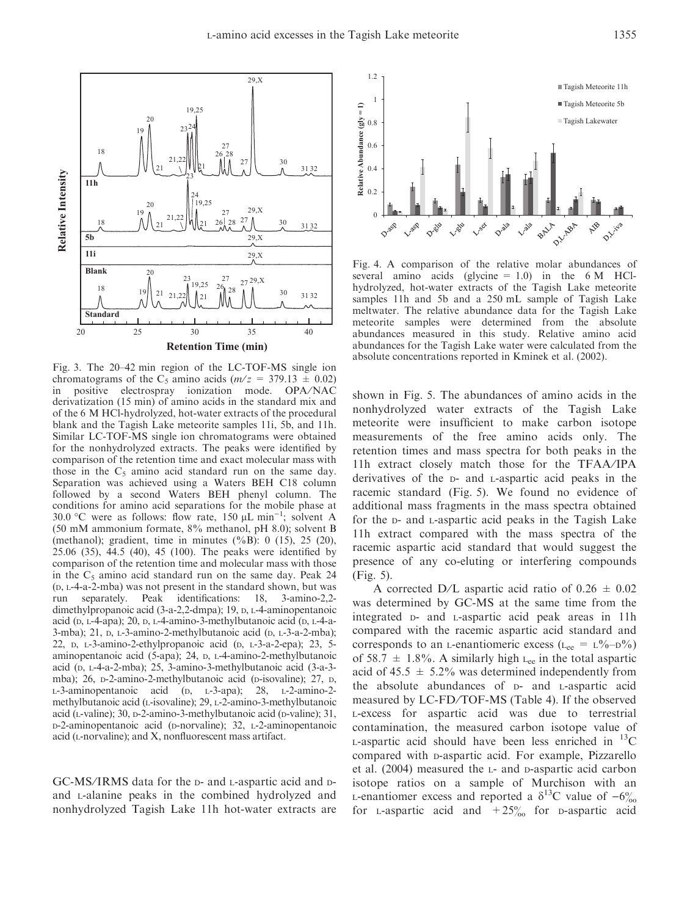

Fig. 3. The 20–42 min region of the LC-TOF-MS single ion chromatograms of the C<sub>5</sub> amino acids ( $m/z = 379.13 \pm 0.02$ ) in positive electrospray ionization mode. OPA/NAC derivatization (15 min) of amino acids in the standard mix and of the 6 M HCl-hydrolyzed, hot-water extracts of the procedural blank and the Tagish Lake meteorite samples 11i, 5b, and 11h. Similar LC-TOF-MS single ion chromatograms were obtained for the nonhydrolyzed extracts. The peaks were identified by comparison of the retention time and exact molecular mass with those in the  $C_5$  amino acid standard run on the same day. Separation was achieved using a Waters BEH C18 column followed by a second Waters BEH phenyl column. The conditions for amino acid separations for the mobile phase at 30.0 °C were as follows: flow rate, 150  $\mu$ L min<sup>-1</sup>; solvent A (50 mM ammonium formate, 8% methanol, pH 8.0); solvent B (methanol); gradient, time in minutes  $(^{0}\%B)$ : 0 (15), 25 (20), 25.06 (35), 44.5 (40), 45 (100). The peaks were identified by comparison of the retention time and molecular mass with those in the  $C_5$  amino acid standard run on the same day. Peak 24  $(p, L-4-a-2-mba)$  was not present in the standard shown, but was run separately. Peak identifications: 18, 3-amino-2,2 dimethylpropanoic acid  $(3-a-2,2-dmpa)$ ; 19, p, L-4-aminopentanoic acid (p, L-4-apa); 20, p, L-4-amino-3-methylbutanoic acid (p, L-4-a-3-mba); 21, p, L-3-amino-2-methylbutanoic acid (p, L-3-a-2-mba); 22,  $D$ ,  $L$ -3-amino-2-ethylpropanoic acid ( $D$ ,  $L$ -3-a-2-epa); 23, 5aminopentanoic acid (5-apa); 24, D, L-4-amino-2-methylbutanoic acid (b, L-4-a-2-mba); 25, 3-amino-3-methylbutanoic acid (3-a-3mba); 26, p-2-amino-2-methylbutanoic acid (p-isovaline); 27, p, L-3-aminopentanoic acid (D, L-3-apa); 28, L-2-amino-2methylbutanoic acid (L-isovaline); 29, L-2-amino-3-methylbutanoic acid (L-valine); 30, p-2-amino-3-methylbutanoic acid (p-valine); 31, D-2-aminopentanoic acid (D-norvaline); 32, L-2-aminopentanoic acid (l-norvaline); and X, nonfluorescent mass artifact.

 $GC-MS/IRMS$  data for the  $D-$  and  $L-$ aspartic acid and  $D$ and l-alanine peaks in the combined hydrolyzed and nonhydrolyzed Tagish Lake 11h hot-water extracts are



Fig. 4. A comparison of the relative molar abundances of several amino acids (glycine  $= 1.0$ ) in the 6 M HClhydrolyzed, hot-water extracts of the Tagish Lake meteorite samples 11h and 5b and a 250 mL sample of Tagish Lake meltwater. The relative abundance data for the Tagish Lake meteorite samples were determined from the absolute abundances measured in this study. Relative amino acid abundances for the Tagish Lake water were calculated from the absolute concentrations reported in Kminek et al. (2002).

shown in Fig. 5. The abundances of amino acids in the nonhydrolyzed water extracts of the Tagish Lake meteorite were insufficient to make carbon isotope measurements of the free amino acids only. The retention times and mass spectra for both peaks in the 11h extract closely match those for the TFAA⁄IPA derivatives of the  $D-$  and  $L$ -aspartic acid peaks in the racemic standard (Fig. 5). We found no evidence of additional mass fragments in the mass spectra obtained for the  $D-$  and *L*-aspartic acid peaks in the Tagish Lake 11h extract compared with the mass spectra of the racemic aspartic acid standard that would suggest the presence of any co-eluting or interfering compounds (Fig. 5).

A corrected D/L aspartic acid ratio of  $0.26 \pm 0.02$ was determined by GC-MS at the same time from the integrated  $D$ - and *L*-aspartic acid peak areas in 11h compared with the racemic aspartic acid standard and corresponds to an *L*-enantiomeric excess ( $L_{ee} = L\% - D\%$ ) of 58.7  $\pm$  1.8%. A similarly high  $L_{ee}$  in the total aspartic acid of 45.5  $\pm$  5.2% was determined independently from the absolute abundances of  $D$ - and  $L$ -aspartic acid measured by LC-FD/TOF-MS (Table 4). If the observed l-excess for aspartic acid was due to terrestrial contamination, the measured carbon isotope value of  $L$ -aspartic acid should have been less enriched in  $^{13}C$ compared with p-aspartic acid. For example, Pizzarello et al.  $(2004)$  measured the  $L$ - and  $D$ -aspartic acid carbon isotope ratios on a sample of Murchison with an L-enantiomer excess and reported a  $\delta^{13}$ C value of  $-6\%$ for *L*-aspartic acid and  $+25\%$  for *D*-aspartic acid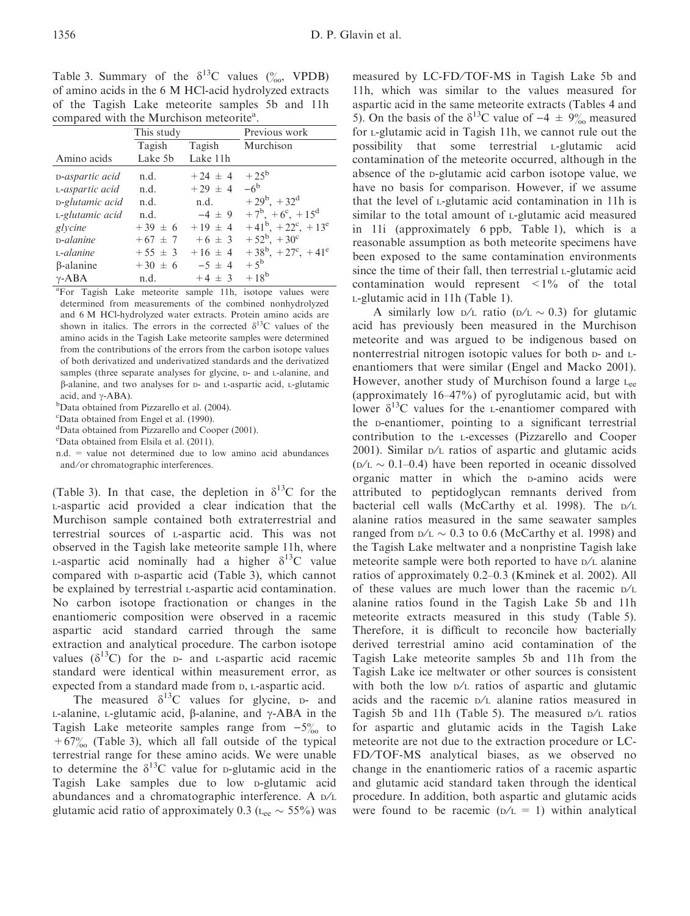Table 3. Summary of the  $\delta^{13}$ C values ( $\frac{\%}{\%}$ , VPDB) of amino acids in the 6 M HCl-acid hydrolyzed extracts of the Tagish Lake meteorite samples 5b and 11h compared with the Murchison meteorite<sup>a</sup>.

|                 | This study  |             | Previous work               |
|-----------------|-------------|-------------|-----------------------------|
|                 | Tagish      | Tagish      | Murchison                   |
| Amino acids     | Lake 5b     | Lake 11h    |                             |
| D-aspartic acid | n.d.        | $+24 \pm 4$ | $+25^{\rm b}$               |
| L-aspartic acid | n.d.        | $+29 \pm 4$ | $-6^{\rm b}$                |
| D-glutamic acid | n.d.        | n.d.        | $+29^b$ , $+32^d$           |
| L-glutamic acid | n.d.        | $-4 \pm 9$  | $+7^b$ , $+6^c$ , $+15^d$   |
| glycine         | $+39 \pm 6$ | $+19 \pm 4$ | $+41^b$ , $+22^c$ , $+13^e$ |
| D-alanine       | $+67 \pm 7$ | $+6 \pm 3$  | $+52^b$ , $+30^c$           |
| L-alanine       | $+55 \pm 3$ | $+16 \pm 4$ | $+38^b$ , $+27^c$ , $+41^e$ |
| β-alanine       | $+30 \pm 6$ | $-5 \pm 4$  | $+5^{\rm b}$                |
| $\gamma$ -ABA   | n.d.        | $+4 \pm 3$  | $+18^{\rm b}$               |

<sup>a</sup>For Tagish Lake meteorite sample 11h, isotope values were determined from measurements of the combined nonhydrolyzed and 6 M HCl-hydrolyzed water extracts. Protein amino acids are shown in italics. The errors in the corrected  $\delta^{13}$ C values of the amino acids in the Tagish Lake meteorite samples were determined from the contributions of the errors from the carbon isotope values of both derivatized and underivatized standards and the derivatized samples (three separate analyses for glycine,  $p$ - and *L*-alanine, and  $\beta$ -alanine, and two analyses for  $D$ - and *L*-aspartic acid, *L*-glutamic acid, and  $\gamma$ -ABA).

<sup>b</sup>Data obtained from Pizzarello et al. (2004).

<sup>c</sup>Data obtained from Engel et al. (1990).

<sup>d</sup>Data obtained from Pizzarello and Cooper (2001).

e Data obtained from Elsila et al. (2011).

n.d. = value not determined due to low amino acid abundances and/or chromatographic interferences.

(Table 3). In that case, the depletion in  $\delta^{13}$ C for the l-aspartic acid provided a clear indication that the Murchison sample contained both extraterrestrial and terrestrial sources of l-aspartic acid. This was not observed in the Tagish lake meteorite sample 11h, where L-aspartic acid nominally had a higher  $\delta^{13}C$  value compared with p-aspartic acid (Table 3), which cannot be explained by terrestrial *L*-aspartic acid contamination. No carbon isotope fractionation or changes in the enantiomeric composition were observed in a racemic aspartic acid standard carried through the same extraction and analytical procedure. The carbon isotope values  $(\delta^{13}C)$  for the D- and L-aspartic acid racemic standard were identical within measurement error, as expected from a standard made from  $D$ , *L*-aspartic acid.

The measured  $\delta^{13}$ C values for glycine, p- and  $L$ -alanine,  $L$ -glutamic acid,  $\beta$ -alanine, and  $\gamma$ -ABA in the Tagish Lake meteorite samples range from  $-5\%$  to +67 $\%$  (Table 3), which all fall outside of the typical terrestrial range for these amino acids. We were unable to determine the  $\delta^{13}$ C value for p-glutamic acid in the Tagish Lake samples due to low p-glutamic acid abundances and a chromatographic interference. A  $D/L$ glutamic acid ratio of approximately 0.3 ( $L_{ee} \sim 55\%$ ) was

measured by LC-FD/TOF-MS in Tagish Lake 5b and 11h, which was similar to the values measured for aspartic acid in the same meteorite extracts (Tables 4 and 5). On the basis of the  $\delta^{13}$ C value of  $-4 \pm 9\%$  measured for l-glutamic acid in Tagish 11h, we cannot rule out the possibility that some terrestrial l-glutamic acid contamination of the meteorite occurred, although in the absence of the p-glutamic acid carbon isotope value, we have no basis for comparison. However, if we assume that the level of l-glutamic acid contamination in 11h is similar to the total amount of  $L$ -glutamic acid measured in 11i (approximately 6 ppb, Table 1), which is a reasonable assumption as both meteorite specimens have been exposed to the same contamination environments since the time of their fall, then terrestrial L-glutamic acid contamination would represent <1% of the total l-glutamic acid in 11h (Table 1).

A similarly low  $D/L$  ratio ( $D/L \sim 0.3$ ) for glutamic acid has previously been measured in the Murchison meteorite and was argued to be indigenous based on nonterrestrial nitrogen isotopic values for both  $D$ - and  $L$ enantiomers that were similar (Engel and Macko 2001). However, another study of Murchison found a large  $L_{ee}$ (approximately 16–47%) of pyroglutamic acid, but with lower  $\delta^{13}$ C values for the *L*-enantiomer compared with the **D-enantiomer**, pointing to a significant terrestrial contribution to the l-excesses (Pizzarello and Cooper 2001). Similar  $D/L$  ratios of aspartic and glutamic acids  $(p/L \sim 0.1-0.4)$  have been reported in oceanic dissolved organic matter in which the p-amino acids were attributed to peptidoglycan remnants derived from bacterial cell walls (McCarthy et al. 1998). The  $D/L$ alanine ratios measured in the same seawater samples ranged from  $p/L \sim 0.3$  to 0.6 (McCarthy et al. 1998) and the Tagish Lake meltwater and a nonpristine Tagish lake meteorite sample were both reported to have  $D/L$  alanine ratios of approximately 0.2–0.3 (Kminek et al. 2002). All of these values are much lower than the racemic  $D/L$ alanine ratios found in the Tagish Lake 5b and 11h meteorite extracts measured in this study (Table 5). Therefore, it is difficult to reconcile how bacterially derived terrestrial amino acid contamination of the Tagish Lake meteorite samples 5b and 11h from the Tagish Lake ice meltwater or other sources is consistent with both the low  $D/L$  ratios of aspartic and glutamic acids and the racemic  $D/L$  alanine ratios measured in Tagish 5b and 11h (Table 5). The measured  $D/L$  ratios for aspartic and glutamic acids in the Tagish Lake meteorite are not due to the extraction procedure or LC-FD/TOF-MS analytical biases, as we observed no change in the enantiomeric ratios of a racemic aspartic and glutamic acid standard taken through the identical procedure. In addition, both aspartic and glutamic acids were found to be racemic  $(p/L = 1)$  within analytical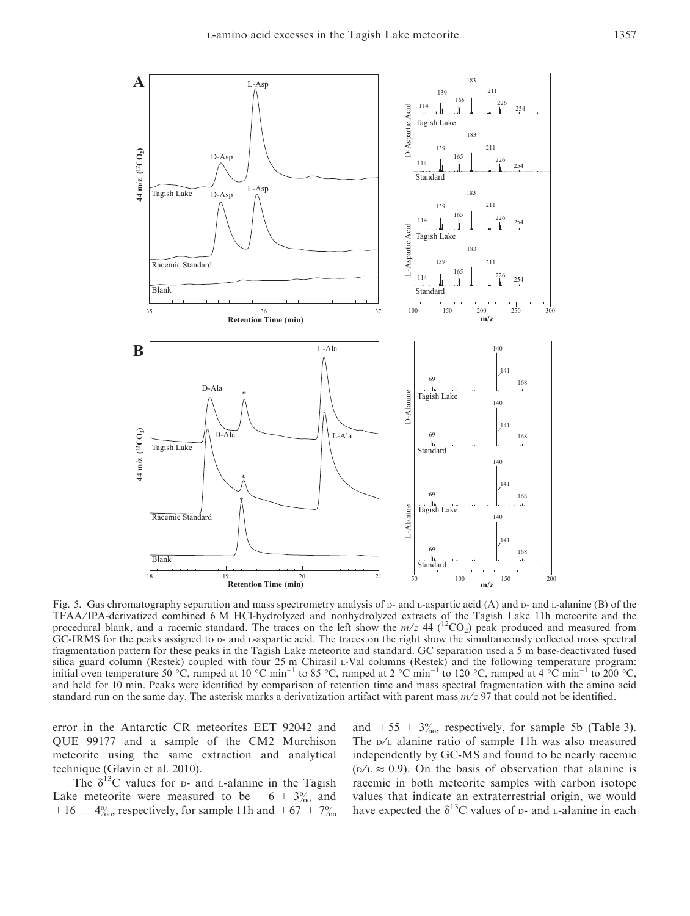

Fig. 5. Gas chromatography separation and mass spectrometry analysis of  $p$ - and  $p$ -aspartic acid (A) and  $p$ - and  $p$ -alanine (B) of the TFAA ⁄IPA-derivatized combined 6 M HCl-hydrolyzed and nonhydrolyzed extracts of the Tagish Lake 11h meteorite and the procedural blank, and a racemic standard. The traces on the left show the  $m/z$  44 (<sup>12</sup>CO<sub>2</sub>) peak produced and measured from GC-IRMS for the peaks assigned to b- and L-aspartic acid. The traces on the right show the simultaneously collected mass spectral fragmentation pattern for these peaks in the Tagish Lake meteorite and standard. GC separation used a 5 m base-deactivated fused silica guard column (Restek) coupled with four 25 m Chirasil l-Val columns (Restek) and the following temperature program: initial oven temperature 50 °C, ramped at 10 °C min<sup>-1</sup> to 85 °C, ramped at 2 °C min<sup>-1</sup> to 120 °C, ramped at 4 °C min<sup>-1</sup> to 200 °C, and held for 10 min. Peaks were identified by comparison of retention time and mass spectral fragmentation with the amino acid standard run on the same day. The asterisk marks a derivatization artifact with parent mass  $m/z$  97 that could not be identified.

error in the Antarctic CR meteorites EET 92042 and QUE 99177 and a sample of the CM2 Murchison meteorite using the same extraction and analytical technique (Glavin et al. 2010).

The  $\delta^{13}$ C values for D- and L-alanine in the Tagish Lake meteorite were measured to be  $+6 \pm 3\%$  and +16  $\pm$  4\% 4\%, respectively, for sample 11h and +67  $\pm$  7\% and  $+55 \pm 3\frac{\omega}{100}$ , respectively, for sample 5b (Table 3). The  $D/L$  alanine ratio of sample 11h was also measured independently by GC-MS and found to be nearly racemic  $(p/L \approx 0.9)$ . On the basis of observation that alanine is racemic in both meteorite samples with carbon isotope values that indicate an extraterrestrial origin, we would have expected the  $\delta^{13}$ C values of p- and L-alanine in each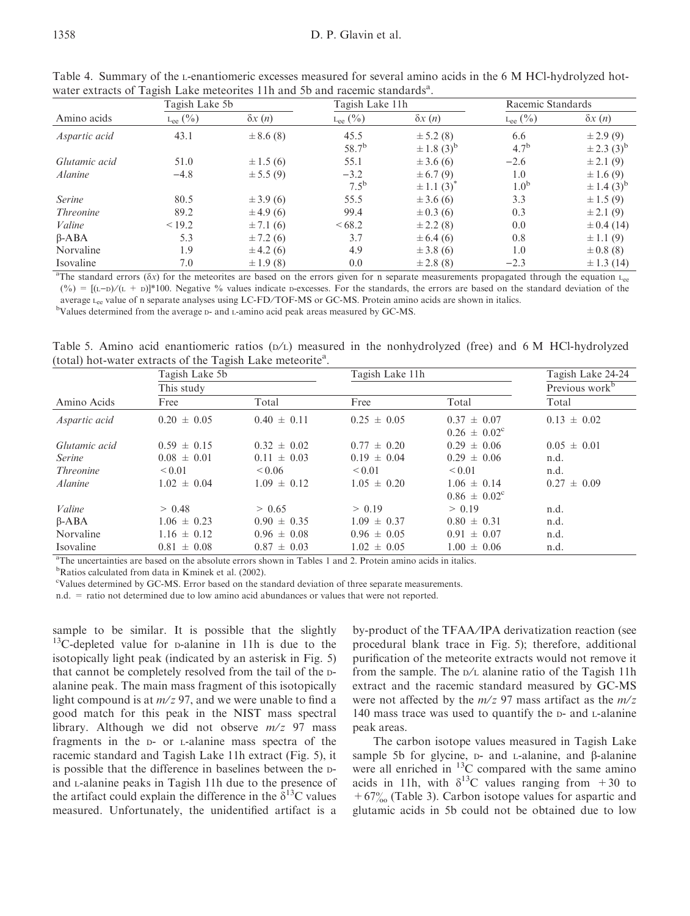|                  | Tagish Lake 5b  |               | Tagish Lake 11h    |                                            | Racemic Standards |                                            |
|------------------|-----------------|---------------|--------------------|--------------------------------------------|-------------------|--------------------------------------------|
| Amino acids      | $L_{ee}$ $(\%)$ | $\delta x(n)$ | $L_{ee}$ $(\%)$    | $\delta x(n)$                              | $L_{ee}$ $(\%)$   | $\delta x(n)$                              |
| Aspartic acid    | 43.1            | $\pm 8.6(8)$  | 45.5<br>$58.7^{b}$ | $\pm 5.2(8)$<br>$\pm$ 1.8 (3) <sup>b</sup> | 6.6<br>$4.7^{b}$  | $\pm 2.9(9)$<br>$\pm 2.3$ (3) <sup>b</sup> |
| Glutamic acid    | 51.0            | $\pm 1.5(6)$  | 55.1               | $\pm 3.6(6)$                               | $-2.6$            | $\pm 2.1(9)$                               |
| <i>Alanine</i>   | $-4.8$          | $\pm$ 5.5 (9) | $-3.2$             | $\pm 6.7(9)$                               | 1.0               | $\pm 1.6(9)$                               |
|                  |                 |               | $7.5^{b}$          | $\pm$ 1.1 (3)                              | 1.0 <sup>b</sup>  | $\pm$ 1.4 (3) <sup>b</sup>                 |
| <b>Serine</b>    | 80.5            | $\pm 3.9(6)$  | 55.5               | $\pm 3.6(6)$                               | 3.3               | $\pm 1.5(9)$                               |
| <i>Threonine</i> | 89.2            | $\pm$ 4.9 (6) | 99.4               | $\pm 0.3(6)$                               | 0.3               | $\pm 2.1(9)$                               |
| Valine           | < 19.2          | $\pm 7.1(6)$  | <68.2              | $\pm 2.2(8)$                               | 0.0               | $\pm 0.4(14)$                              |
| $\beta$ -ABA     | 5.3             | $\pm 7.2(6)$  | 3.7                | $\pm 6.4(6)$                               | 0.8               | $\pm 1.1(9)$                               |
| Norvaline        | 1.9             | $\pm$ 4.2 (6) | 4.9                | $\pm 3.8(6)$                               | 1.0               | $\pm 0.8$ (8)                              |
| Isovaline        | 7.0             | $\pm 1.9(8)$  | 0.0                | $\pm 2.8(8)$                               | $-2.3$            | $\pm$ 1.3 (14)                             |

Table 4. Summary of the l-enantiomeric excesses measured for several amino acids in the 6 M HCl-hydrolyzed hotwater extracts of Tagish Lake meteorites 11h and 5b and racemic standards<sup>a</sup>.

<sup>a</sup>The standard errors ( $\delta x$ ) for the meteorites are based on the errors given for n separate measurements propagated through the equation Lee  $(\%) = [(\text{L}-\text{D})/(\text{L} + \text{D})]^*100$ . Negative % values indicate p-excesses. For the standards, the errors are based on the standard deviation of the average L<sub>ee</sub> value of n separate analyses using LC-FD/TOF-MS or GC-MS. Protein amino acids are shown in italics.

 $b$ Values determined from the average  $b$ - and  $L$ -amino acid peak areas measured by GC-MS.

Table 5. Amino acid enantiomeric ratios  $(p/L)$  measured in the nonhydrolyzed (free) and 6 M HCl-hydrolyzed (total) hot-water extracts of the Tagish Lake meteorite<sup>a</sup>.

|                  | Tagish Lake 5b<br>This study |                 | Tagish Lake 11h | Tagish Lake 24-24          |                 |
|------------------|------------------------------|-----------------|-----------------|----------------------------|-----------------|
|                  |                              |                 |                 | Previous work <sup>b</sup> |                 |
| Amino Acids      | Free                         | Total           | Free            | Total                      | Total           |
| Aspartic acid    | $0.20 \pm 0.05$              | $0.40 \pm 0.11$ | $0.25 \pm 0.05$ | $0.37 \pm 0.07$            | $0.13 \pm 0.02$ |
|                  |                              |                 |                 | $0.26 \pm 0.02^{\circ}$    |                 |
| Glutamic acid    | $0.59 \pm 0.15$              | $0.32 \pm 0.02$ | $0.77 \pm 0.20$ | $0.29 \pm 0.06$            | $0.05 \pm 0.01$ |
| <b>Serine</b>    | $0.08 \pm 0.01$              | $0.11 \pm 0.03$ | $0.19 \pm 0.04$ | $0.29 \pm 0.06$            | n.d.            |
| <i>Threonine</i> | ${}_{0.01}$                  | < 0.06          | ${}_{0.01}$     | ${}_{0.01}$                | n.d.            |
| <i>Alanine</i>   | $1.02 \pm 0.04$              | $1.09 \pm 0.12$ | $1.05 \pm 0.20$ | $1.06 \pm 0.14$            | $0.27 \pm 0.09$ |
|                  |                              |                 |                 | $0.86 \pm 0.02^{\circ}$    |                 |
| Valine           | > 0.48                       | > 0.65          | > 0.19          | > 0.19                     | n.d.            |
| $\beta$ -ABA     | $1.06 \pm 0.23$              | $0.90 \pm 0.35$ | $1.09 \pm 0.37$ | $0.80 \pm 0.31$            | n.d.            |
| Norvaline        | $1.16 \pm 0.12$              | $0.96 \pm 0.08$ | $0.96 \pm 0.05$ | $0.91 \pm 0.07$            | n.d.            |
| Isovaline        | $0.81 \pm 0.08$              | $0.87 \pm 0.03$ | $1.02 \pm 0.05$ | $1.00 \pm 0.06$            | n.d.            |

<sup>a</sup>The uncertainties are based on the absolute errors shown in Tables 1 and 2. Protein amino acids in italics.

<sup>b</sup>Ratios calculated from data in Kminek et al. (2002).

c Values determined by GC-MS. Error based on the standard deviation of three separate measurements.

n.d. = ratio not determined due to low amino acid abundances or values that were not reported.

sample to be similar. It is possible that the slightly  $13C$ -depleted value for p-alanine in 11h is due to the isotopically light peak (indicated by an asterisk in Fig. 5) that cannot be completely resolved from the tail of the  $D$ alanine peak. The main mass fragment of this isotopically light compound is at  $m/z$  97, and we were unable to find a good match for this peak in the NIST mass spectral library. Although we did not observe  $m/z$  97 mass fragments in the  $p$ - or *L*-alanine mass spectra of the racemic standard and Tagish Lake 11h extract (Fig. 5), it is possible that the difference in baselines between the  $D$ and L-alanine peaks in Tagish 11h due to the presence of the artifact could explain the difference in the  $\delta^{13}$ C values measured. Unfortunately, the unidentified artifact is a

by-product of the TFAA⁄IPA derivatization reaction (see procedural blank trace in Fig. 5); therefore, additional purification of the meteorite extracts would not remove it from the sample. The  $D/L$  alanine ratio of the Tagish 11h extract and the racemic standard measured by GC-MS were not affected by the  $m/z$  97 mass artifact as the  $m/z$ 140 mass trace was used to quantify the  $D-$  and  $L$ -alanine peak areas.

The carbon isotope values measured in Tagish Lake sample 5b for glycine,  $D$ - and  $L$ -alanine, and  $\beta$ -alanine were all enriched in <sup>13</sup>C compared with the same amino acids in 11h, with  $\delta^{13}$ C values ranging from +30 to  $+67\%$  (Table 3). Carbon isotope values for aspartic and glutamic acids in 5b could not be obtained due to low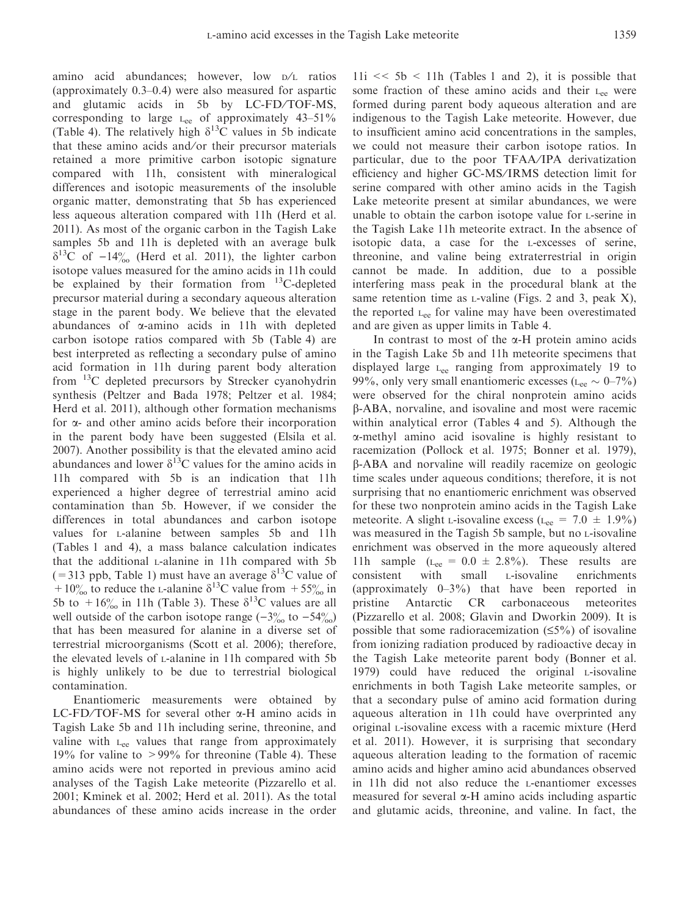amino acid abundances; however, low  $D/L$  ratios (approximately 0.3–0.4) were also measured for aspartic and glutamic acids in 5b by LC-FD/TOF-MS, corresponding to large  $L_{ee}$  of approximately 43-51% (Table 4). The relatively high  $\delta^{13}$ C values in 5b indicate that these amino acids and/or their precursor materials retained a more primitive carbon isotopic signature compared with 11h, consistent with mineralogical differences and isotopic measurements of the insoluble organic matter, demonstrating that 5b has experienced less aqueous alteration compared with 11h (Herd et al. 2011). As most of the organic carbon in the Tagish Lake samples 5b and 11h is depleted with an average bulk  $\delta^{13}$ C of  $-14\%$  (Herd et al. 2011), the lighter carbon isotope values measured for the amino acids in 11h could be explained by their formation from  $^{13}$ C-depleted precursor material during a secondary aqueous alteration stage in the parent body. We believe that the elevated abundances of  $\alpha$ -amino acids in 11h with depleted carbon isotope ratios compared with 5b (Table 4) are best interpreted as reflecting a secondary pulse of amino acid formation in 11h during parent body alteration from <sup>13</sup>C depleted precursors by Strecker cyanohydrin synthesis (Peltzer and Bada 1978; Peltzer et al. 1984; Herd et al. 2011), although other formation mechanisms for  $\alpha$ - and other amino acids before their incorporation in the parent body have been suggested (Elsila et al. 2007). Another possibility is that the elevated amino acid abundances and lower  $\delta^{13}$ C values for the amino acids in 11h compared with 5b is an indication that 11h experienced a higher degree of terrestrial amino acid contamination than 5b. However, if we consider the differences in total abundances and carbon isotope values for l-alanine between samples 5b and 11h (Tables 1 and 4), a mass balance calculation indicates that the additional *L*-alanine in 11h compared with 5b (=313 ppb, Table 1) must have an average  $\delta^{13}$ C value of +10% to reduce the L-alanine  $\delta^{13}$ C value from +55% in 5b to  $+16\%$  in 11h (Table 3). These  $\delta^{13}$ C values are all well outside of the carbon isotope range  $(-3\% \text{ to } -54\%)$ that has been measured for alanine in a diverse set of terrestrial microorganisms (Scott et al. 2006); therefore, the elevated levels of  $L$ -alanine in 11h compared with 5b is highly unlikely to be due to terrestrial biological contamination.

Enantiomeric measurements were obtained by LC-FD/TOF-MS for several other  $\alpha$ -H amino acids in Tagish Lake 5b and 11h including serine, threonine, and valine with  $L_{ee}$  values that range from approximately 19% for valine to  $>99\%$  for threonine (Table 4). These amino acids were not reported in previous amino acid analyses of the Tagish Lake meteorite (Pizzarello et al. 2001; Kminek et al. 2002; Herd et al. 2011). As the total abundances of these amino acids increase in the order

 $11i \leq 5b \leq 11h$  (Tables 1 and 2), it is possible that some fraction of these amino acids and their  $L_{ee}$  were formed during parent body aqueous alteration and are indigenous to the Tagish Lake meteorite. However, due to insufficient amino acid concentrations in the samples, we could not measure their carbon isotope ratios. In particular, due to the poor TFAA⁄IPA derivatization efficiency and higher GC-MS/IRMS detection limit for serine compared with other amino acids in the Tagish Lake meteorite present at similar abundances, we were unable to obtain the carbon isotope value for *L*-serine in the Tagish Lake 11h meteorite extract. In the absence of isotopic data, a case for the *L*-excesses of serine, threonine, and valine being extraterrestrial in origin cannot be made. In addition, due to a possible interfering mass peak in the procedural blank at the same retention time as  $L$ -valine (Figs. 2 and 3, peak X), the reported  $L_{ee}$  for valine may have been overestimated and are given as upper limits in Table 4.

In contrast to most of the  $\alpha$ -H protein amino acids in the Tagish Lake 5b and 11h meteorite specimens that displayed large  $L_{ee}$  ranging from approximately 19 to 99%, only very small enantiomeric excesses ( $L_{ee} \sim 0-7\%$ ) were observed for the chiral nonprotein amino acids b-ABA, norvaline, and isovaline and most were racemic within analytical error (Tables 4 and 5). Although the a-methyl amino acid isovaline is highly resistant to racemization (Pollock et al. 1975; Bonner et al. 1979), b-ABA and norvaline will readily racemize on geologic time scales under aqueous conditions; therefore, it is not surprising that no enantiomeric enrichment was observed for these two nonprotein amino acids in the Tagish Lake meteorite. A slight L-isovaline excess ( $L_{ee} = 7.0 \pm 1.9\%$ ) was measured in the Tagish 5b sample, but no *L*-isovaline enrichment was observed in the more aqueously altered 11h sample ( $L_{ee} = 0.0 \pm 2.8\%$ ). These results are consistent with small L-isovaline enrichments (approximately 0–3%) that have been reported in pristine Antarctic CR carbonaceous meteorites (Pizzarello et al. 2008; Glavin and Dworkin 2009). It is possible that some radioracemization  $(5\%)$  of isovaline from ionizing radiation produced by radioactive decay in the Tagish Lake meteorite parent body (Bonner et al. 1979) could have reduced the original  $L$ -isovaline enrichments in both Tagish Lake meteorite samples, or that a secondary pulse of amino acid formation during aqueous alteration in 11h could have overprinted any original l-isovaline excess with a racemic mixture (Herd et al. 2011). However, it is surprising that secondary aqueous alteration leading to the formation of racemic amino acids and higher amino acid abundances observed in 11h did not also reduce the l-enantiomer excesses measured for several  $\alpha$ -H amino acids including aspartic and glutamic acids, threonine, and valine. In fact, the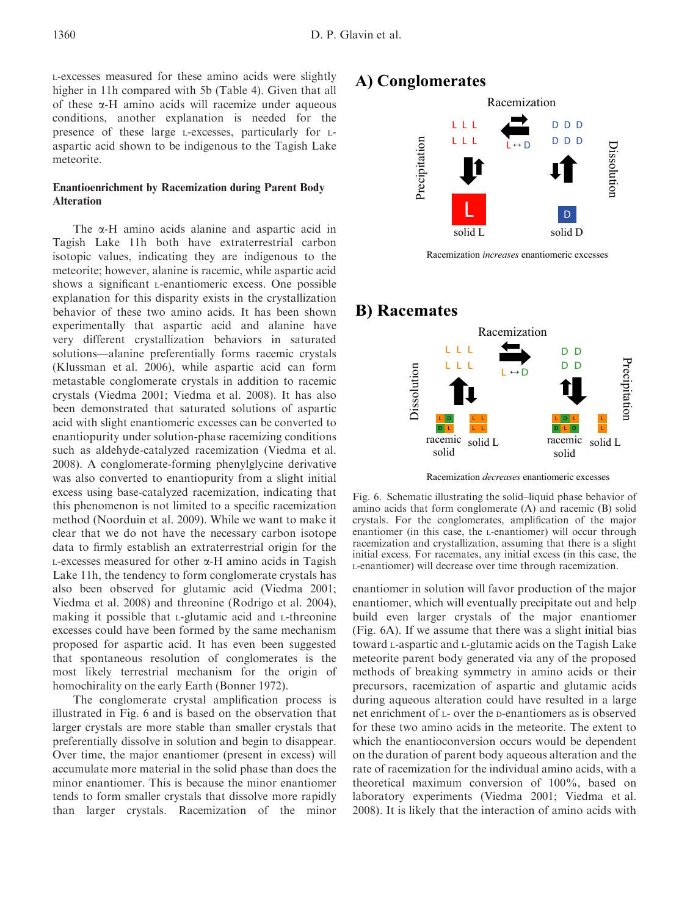l-excesses measured for these amino acids were slightly higher in 11h compared with 5b (Table 4). Given that all of these  $\alpha$ -H amino acids will racemize under aqueous conditions, another explanation is needed for the presence of these large l-excesses, particularly for laspartic acid shown to be indigenous to the Tagish Lake meteorite.

#### Enantioenrichment by Racemization during Parent Body Alteration

The  $\alpha$ -H amino acids alanine and aspartic acid in Tagish Lake 11h both have extraterrestrial carbon isotopic values, indicating they are indigenous to the meteorite; however, alanine is racemic, while aspartic acid shows a significant *L*-enantiomeric excess. One possible explanation for this disparity exists in the crystallization behavior of these two amino acids. It has been shown experimentally that aspartic acid and alanine have very different crystallization behaviors in saturated solutions—alanine preferentially forms racemic crystals (Klussman et al. 2006), while aspartic acid can form metastable conglomerate crystals in addition to racemic crystals (Viedma 2001; Viedma et al. 2008). It has also been demonstrated that saturated solutions of aspartic acid with slight enantiomeric excesses can be converted to enantiopurity under solution-phase racemizing conditions such as aldehyde-catalyzed racemization (Viedma et al. 2008). A conglomerate-forming phenylglycine derivative was also converted to enantiopurity from a slight initial excess using base-catalyzed racemization, indicating that this phenomenon is not limited to a specific racemization method (Noorduin et al. 2009). While we want to make it clear that we do not have the necessary carbon isotope data to firmly establish an extraterrestrial origin for the  $L$ -excesses measured for other  $\alpha$ -H amino acids in Tagish Lake 11h, the tendency to form conglomerate crystals has also been observed for glutamic acid (Viedma 2001; Viedma et al. 2008) and threonine (Rodrigo et al. 2004), making it possible that *L*-glutamic acid and *L*-threonine excesses could have been formed by the same mechanism proposed for aspartic acid. It has even been suggested that spontaneous resolution of conglomerates is the most likely terrestrial mechanism for the origin of homochirality on the early Earth (Bonner 1972).

The conglomerate crystal amplification process is illustrated in Fig. 6 and is based on the observation that larger crystals are more stable than smaller crystals that preferentially dissolve in solution and begin to disappear. Over time, the major enantiomer (present in excess) will accumulate more material in the solid phase than does the minor enantiomer. This is because the minor enantiomer tends to form smaller crystals that dissolve more rapidly than larger crystals. Racemization of the minor

## **A) Conglomerates**



Racemization *increases* enantiomeric excesses

## **B) Racemates**



Racemization *decreases* enantiomeric excesses

Fig. 6. Schematic illustrating the solid–liquid phase behavior of amino acids that form conglomerate (A) and racemic (B) solid crystals. For the conglomerates, amplification of the major enantiomer (in this case, the *L*-enantiomer) will occur through racemization and crystallization, assuming that there is a slight initial excess. For racemates, any initial excess (in this case, the l-enantiomer) will decrease over time through racemization.

enantiomer in solution will favor production of the major enantiomer, which will eventually precipitate out and help build even larger crystals of the major enantiomer (Fig. 6A). If we assume that there was a slight initial bias toward L-aspartic and L-glutamic acids on the Tagish Lake meteorite parent body generated via any of the proposed methods of breaking symmetry in amino acids or their precursors, racemization of aspartic and glutamic acids during aqueous alteration could have resulted in a large net enrichment of L- over the D-enantiomers as is observed for these two amino acids in the meteorite. The extent to which the enantioconversion occurs would be dependent on the duration of parent body aqueous alteration and the rate of racemization for the individual amino acids, with a theoretical maximum conversion of 100%, based on laboratory experiments (Viedma 2001; Viedma et al. 2008). It is likely that the interaction of amino acids with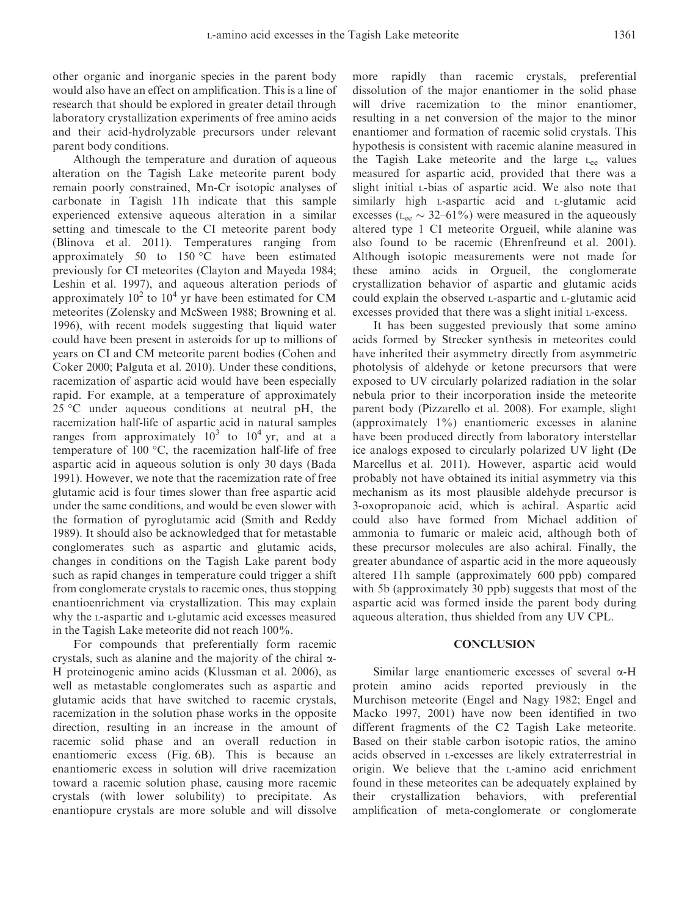other organic and inorganic species in the parent body would also have an effect on amplification. This is a line of research that should be explored in greater detail through laboratory crystallization experiments of free amino acids and their acid-hydrolyzable precursors under relevant parent body conditions.

Although the temperature and duration of aqueous alteration on the Tagish Lake meteorite parent body remain poorly constrained, Mn-Cr isotopic analyses of carbonate in Tagish 11h indicate that this sample experienced extensive aqueous alteration in a similar setting and timescale to the CI meteorite parent body (Blinova et al. 2011). Temperatures ranging from approximately 50 to 150 °C have been estimated previously for CI meteorites (Clayton and Mayeda 1984; Leshin et al. 1997), and aqueous alteration periods of approximately  $10^2$  to  $10^4$  yr have been estimated for CM meteorites (Zolensky and McSween 1988; Browning et al. 1996), with recent models suggesting that liquid water could have been present in asteroids for up to millions of years on CI and CM meteorite parent bodies (Cohen and Coker 2000; Palguta et al. 2010). Under these conditions, racemization of aspartic acid would have been especially rapid. For example, at a temperature of approximately  $25^{\circ}$ C under aqueous conditions at neutral pH, the racemization half-life of aspartic acid in natural samples ranges from approximately  $10^3$  to  $10^4$  yr, and at a temperature of 100  $^{\circ}$ C, the racemization half-life of free aspartic acid in aqueous solution is only 30 days (Bada 1991). However, we note that the racemization rate of free glutamic acid is four times slower than free aspartic acid under the same conditions, and would be even slower with the formation of pyroglutamic acid (Smith and Reddy 1989). It should also be acknowledged that for metastable conglomerates such as aspartic and glutamic acids, changes in conditions on the Tagish Lake parent body such as rapid changes in temperature could trigger a shift from conglomerate crystals to racemic ones, thus stopping enantioenrichment via crystallization. This may explain why the L-aspartic and L-glutamic acid excesses measured in the Tagish Lake meteorite did not reach 100%.

For compounds that preferentially form racemic crystals, such as alanine and the majority of the chiral  $\alpha$ -H proteinogenic amino acids (Klussman et al. 2006), as well as metastable conglomerates such as aspartic and glutamic acids that have switched to racemic crystals, racemization in the solution phase works in the opposite direction, resulting in an increase in the amount of racemic solid phase and an overall reduction in enantiomeric excess (Fig. 6B). This is because an enantiomeric excess in solution will drive racemization toward a racemic solution phase, causing more racemic crystals (with lower solubility) to precipitate. As enantiopure crystals are more soluble and will dissolve

more rapidly than racemic crystals, preferential dissolution of the major enantiomer in the solid phase will drive racemization to the minor enantiomer, resulting in a net conversion of the major to the minor enantiomer and formation of racemic solid crystals. This hypothesis is consistent with racemic alanine measured in the Tagish Lake meteorite and the large  $L_{ee}$  values measured for aspartic acid, provided that there was a slight initial *L*-bias of aspartic acid. We also note that similarly high L-aspartic acid and L-glutamic acid excesses ( $L_{ee} \sim 32{\text -}61\%$ ) were measured in the aqueously altered type 1 CI meteorite Orgueil, while alanine was also found to be racemic (Ehrenfreund et al. 2001). Although isotopic measurements were not made for these amino acids in Orgueil, the conglomerate crystallization behavior of aspartic and glutamic acids could explain the observed l-aspartic and l-glutamic acid excesses provided that there was a slight initial *L*-excess.

It has been suggested previously that some amino acids formed by Strecker synthesis in meteorites could have inherited their asymmetry directly from asymmetric photolysis of aldehyde or ketone precursors that were exposed to UV circularly polarized radiation in the solar nebula prior to their incorporation inside the meteorite parent body (Pizzarello et al. 2008). For example, slight (approximately 1%) enantiomeric excesses in alanine have been produced directly from laboratory interstellar ice analogs exposed to circularly polarized UV light (De Marcellus et al. 2011). However, aspartic acid would probably not have obtained its initial asymmetry via this mechanism as its most plausible aldehyde precursor is 3-oxopropanoic acid, which is achiral. Aspartic acid could also have formed from Michael addition of ammonia to fumaric or maleic acid, although both of these precursor molecules are also achiral. Finally, the greater abundance of aspartic acid in the more aqueously altered 11h sample (approximately 600 ppb) compared with 5b (approximately 30 ppb) suggests that most of the aspartic acid was formed inside the parent body during aqueous alteration, thus shielded from any UV CPL.

#### **CONCLUSION**

Similar large enantiomeric excesses of several  $\alpha$ -H protein amino acids reported previously in the Murchison meteorite (Engel and Nagy 1982; Engel and Macko 1997, 2001) have now been identified in two different fragments of the C2 Tagish Lake meteorite. Based on their stable carbon isotopic ratios, the amino acids observed in l-excesses are likely extraterrestrial in origin. We believe that the l-amino acid enrichment found in these meteorites can be adequately explained by their crystallization behaviors, with preferential amplification of meta-conglomerate or conglomerate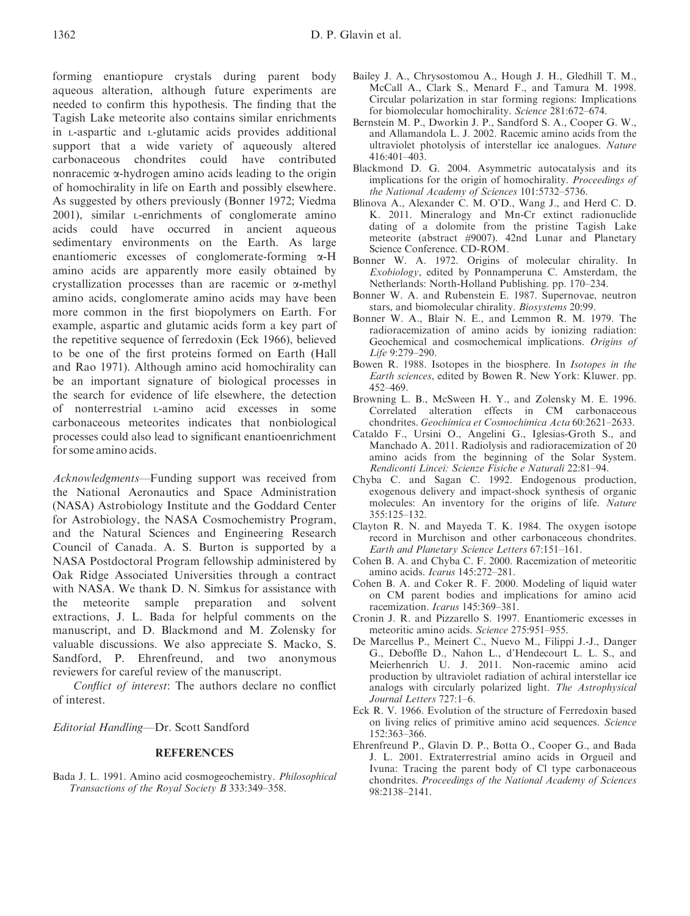forming enantiopure crystals during parent body aqueous alteration, although future experiments are needed to confirm this hypothesis. The finding that the Tagish Lake meteorite also contains similar enrichments in l-aspartic and l-glutamic acids provides additional support that a wide variety of aqueously altered carbonaceous chondrites could have contributed nonracemic a-hydrogen amino acids leading to the origin of homochirality in life on Earth and possibly elsewhere. As suggested by others previously (Bonner 1972; Viedma 2001), similar *L*-enrichments of conglomerate amino acids could have occurred in ancient aqueous sedimentary environments on the Earth. As large enantiomeric excesses of conglomerate-forming a-H amino acids are apparently more easily obtained by crystallization processes than are racemic or a-methyl amino acids, conglomerate amino acids may have been more common in the first biopolymers on Earth. For example, aspartic and glutamic acids form a key part of the repetitive sequence of ferredoxin (Eck 1966), believed to be one of the first proteins formed on Earth (Hall and Rao 1971). Although amino acid homochirality can be an important signature of biological processes in the search for evidence of life elsewhere, the detection of nonterrestrial l-amino acid excesses in some carbonaceous meteorites indicates that nonbiological processes could also lead to significant enantioenrichment for some amino acids.

Acknowledgments—Funding support was received from the National Aeronautics and Space Administration (NASA) Astrobiology Institute and the Goddard Center for Astrobiology, the NASA Cosmochemistry Program, and the Natural Sciences and Engineering Research Council of Canada. A. S. Burton is supported by a NASA Postdoctoral Program fellowship administered by Oak Ridge Associated Universities through a contract with NASA. We thank D. N. Simkus for assistance with the meteorite sample preparation and solvent extractions, J. L. Bada for helpful comments on the manuscript, and D. Blackmond and M. Zolensky for valuable discussions. We also appreciate S. Macko, S. Sandford, P. Ehrenfreund, and two anonymous reviewers for careful review of the manuscript.

Conflict of interest: The authors declare no conflict of interest.

Editorial Handling—Dr. Scott Sandford

### REFERENCES

Bada J. L. 1991. Amino acid cosmogeochemistry. Philosophical Transactions of the Royal Society B 333:349–358.

- Bailey J. A., Chrysostomou A., Hough J. H., Gledhill T. M., McCall A., Clark S., Menard F., and Tamura M. 1998. Circular polarization in star forming regions: Implications for biomolecular homochirality. Science 281:672–674.
- Bernstein M. P., Dworkin J. P., Sandford S. A., Cooper G. W., and Allamandola L. J. 2002. Racemic amino acids from the ultraviolet photolysis of interstellar ice analogues. Nature 416:401–403.
- Blackmond D. G. 2004. Asymmetric autocatalysis and its implications for the origin of homochirality. Proceedings of the National Academy of Sciences 101:5732–5736.
- Blinova A., Alexander C. M. O'D., Wang J., and Herd C. D. K. 2011. Mineralogy and Mn-Cr extinct radionuclide dating of a dolomite from the pristine Tagish Lake meteorite (abstract #9007). 42nd Lunar and Planetary Science Conference. CD-ROM.
- Bonner W. A. 1972. Origins of molecular chirality. In Exobiology, edited by Ponnamperuna C. Amsterdam, the Netherlands: North-Holland Publishing. pp. 170–234.
- Bonner W. A. and Rubenstein E. 1987. Supernovae, neutron stars, and biomolecular chirality. Biosystems 20:99.
- Bonner W. A., Blair N. E., and Lemmon R. M. 1979. The radioracemization of amino acids by ionizing radiation: Geochemical and cosmochemical implications. Origins of Life 9:279–290.
- Bowen R. 1988. Isotopes in the biosphere. In Isotopes in the Earth sciences, edited by Bowen R. New York: Kluwer. pp. 452–469.
- Browning L. B., McSween H. Y., and Zolensky M. E. 1996. Correlated alteration effects in CM carbonaceous chondrites. Geochimica et Cosmochimica Acta 60:2621–2633.
- Cataldo F., Ursini O., Angelini G., Iglesias-Groth S., and Manchado A. 2011. Radiolysis and radioracemization of 20 amino acids from the beginning of the Solar System. Rendiconti Lincei: Scienze Fisiche e Naturali 22:81–94.
- Chyba C. and Sagan C. 1992. Endogenous production, exogenous delivery and impact-shock synthesis of organic molecules: An inventory for the origins of life. Nature 355:125–132.
- Clayton R. N. and Mayeda T. K. 1984. The oxygen isotope record in Murchison and other carbonaceous chondrites. Earth and Planetary Science Letters 67:151–161.
- Cohen B. A. and Chyba C. F. 2000. Racemization of meteoritic amino acids. Icarus 145:272–281.
- Cohen B. A. and Coker R. F. 2000. Modeling of liquid water on CM parent bodies and implications for amino acid racemization. Icarus 145:369–381.
- Cronin J. R. and Pizzarello S. 1997. Enantiomeric excesses in meteoritic amino acids. Science 275:951–955.
- De Marcellus P., Meinert C., Nuevo M., Filippi J.-J., Danger G., Deboffle D., Nahon L., d'Hendecourt L. L. S., and Meierhenrich U. J. 2011. Non-racemic amino acid production by ultraviolet radiation of achiral interstellar ice analogs with circularly polarized light. The Astrophysical Journal Letters 727:1–6.
- Eck R. V. 1966. Evolution of the structure of Ferredoxin based on living relics of primitive amino acid sequences. Science 152:363–366.
- Ehrenfreund P., Glavin D. P., Botta O., Cooper G., and Bada J. L. 2001. Extraterrestrial amino acids in Orgueil and Ivuna: Tracing the parent body of Cl type carbonaceous chondrites. Proceedings of the National Academy of Sciences 98:2138–2141.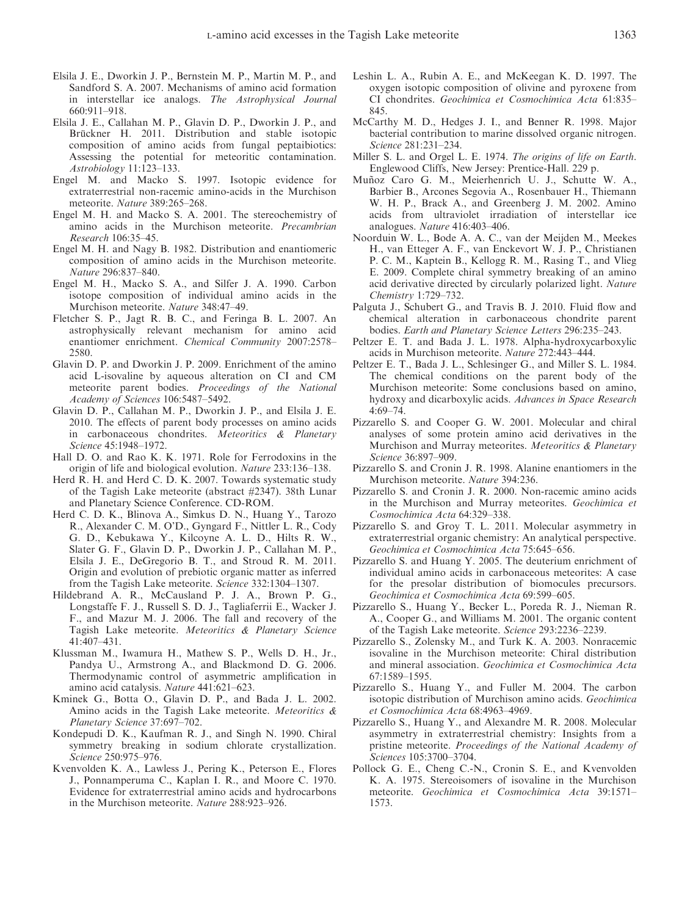- Elsila J. E., Dworkin J. P., Bernstein M. P., Martin M. P., and Sandford S. A. 2007. Mechanisms of amino acid formation in interstellar ice analogs. The Astrophysical Journal 660:911–918.
- Elsila J. E., Callahan M. P., Glavin D. P., Dworkin J. P., and Brückner H. 2011. Distribution and stable isotopic composition of amino acids from fungal peptaibiotics: Assessing the potential for meteoritic contamination. Astrobiology 11:123–133.
- Engel M. and Macko S. 1997. Isotopic evidence for extraterrestrial non-racemic amino-acids in the Murchison meteorite. Nature 389:265–268.
- Engel M. H. and Macko S. A. 2001. The stereochemistry of amino acids in the Murchison meteorite. Precambrian Research 106:35–45.
- Engel M. H. and Nagy B. 1982. Distribution and enantiomeric composition of amino acids in the Murchison meteorite. Nature 296:837–840.
- Engel M. H., Macko S. A., and Silfer J. A. 1990. Carbon isotope composition of individual amino acids in the Murchison meteorite. Nature 348:47–49.
- Fletcher S. P., Jagt R. B. C., and Feringa B. L. 2007. An astrophysically relevant mechanism for amino acid enantiomer enrichment. Chemical Community 2007:2578– 2580.
- Glavin D. P. and Dworkin J. P. 2009. Enrichment of the amino acid L-isovaline by aqueous alteration on CI and CM meteorite parent bodies. Proceedings of the National Academy of Sciences 106:5487–5492.
- Glavin D. P., Callahan M. P., Dworkin J. P., and Elsila J. E. 2010. The effects of parent body processes on amino acids in carbonaceous chondrites. Meteoritics & Planetary Science 45:1948–1972.
- Hall D. O. and Rao K. K. 1971. Role for Ferrodoxins in the origin of life and biological evolution. Nature 233:136–138.
- Herd R. H. and Herd C. D. K. 2007. Towards systematic study of the Tagish Lake meteorite (abstract #2347). 38th Lunar and Planetary Science Conference. CD-ROM.
- Herd C. D. K., Blinova A., Simkus D. N., Huang Y., Tarozo R., Alexander C. M. O'D., Gyngard F., Nittler L. R., Cody G. D., Kebukawa Y., Kilcoyne A. L. D., Hilts R. W., Slater G. F., Glavin D. P., Dworkin J. P., Callahan M. P., Elsila J. E., DeGregorio B. T., and Stroud R. M. 2011. Origin and evolution of prebiotic organic matter as inferred from the Tagish Lake meteorite. Science 332:1304–1307.
- Hildebrand A. R., McCausland P. J. A., Brown P. G., Longstaffe F. J., Russell S. D. J., Tagliaferrii E., Wacker J. F., and Mazur M. J. 2006. The fall and recovery of the Tagish Lake meteorite. Meteoritics & Planetary Science 41:407–431.
- Klussman M., Iwamura H., Mathew S. P., Wells D. H., Jr., Pandya U., Armstrong A., and Blackmond D. G. 2006. Thermodynamic control of asymmetric amplification in amino acid catalysis. Nature 441:621–623.
- Kminek G., Botta O., Glavin D. P., and Bada J. L. 2002. Amino acids in the Tagish Lake meteorite. Meteoritics & Planetary Science 37:697–702.
- Kondepudi D. K., Kaufman R. J., and Singh N. 1990. Chiral symmetry breaking in sodium chlorate crystallization. Science 250:975–976.
- Kvenvolden K. A., Lawless J., Pering K., Peterson E., Flores J., Ponnamperuma C., Kaplan I. R., and Moore C. 1970. Evidence for extraterrestrial amino acids and hydrocarbons in the Murchison meteorite. Nature 288:923–926.
- Leshin L. A., Rubin A. E., and McKeegan K. D. 1997. The oxygen isotopic composition of olivine and pyroxene from CI chondrites. Geochimica et Cosmochimica Acta 61:835– 845.
- McCarthy M. D., Hedges J. I., and Benner R. 1998. Major bacterial contribution to marine dissolved organic nitrogen. Science 281:231–234.
- Miller S. L. and Orgel L. E. 1974. The origins of life on Earth. Englewood Cliffs, New Jersey: Prentice-Hall. 229 p.
- Muñoz Caro G. M., Meierhenrich U. J., Schutte W. A., Barbier B., Arcones Segovia A., Rosenbauer H., Thiemann W. H. P., Brack A., and Greenberg J. M. 2002. Amino acids from ultraviolet irradiation of interstellar ice analogues. Nature 416:403–406.
- Noorduin W. L., Bode A. A. C., van der Meijden M., Meekes H., van Etteger A. F., van Enckevort W. J. P., Christianen P. C. M., Kaptein B., Kellogg R. M., Rasing T., and Vlieg E. 2009. Complete chiral symmetry breaking of an amino acid derivative directed by circularly polarized light. Nature Chemistry 1:729–732.
- Palguta J., Schubert G., and Travis B. J. 2010. Fluid flow and chemical alteration in carbonaceous chondrite parent bodies. Earth and Planetary Science Letters 296:235–243.
- Peltzer E. T. and Bada J. L. 1978. Alpha-hydroxycarboxylic acids in Murchison meteorite. Nature 272:443–444.
- Peltzer E. T., Bada J. L., Schlesinger G., and Miller S. L. 1984. The chemical conditions on the parent body of the Murchison meteorite: Some conclusions based on amino, hydroxy and dicarboxylic acids. Advances in Space Research 4:69–74.
- Pizzarello S. and Cooper G. W. 2001. Molecular and chiral analyses of some protein amino acid derivatives in the Murchison and Murray meteorites. Meteoritics & Planetary Science 36:897–909.
- Pizzarello S. and Cronin J. R. 1998. Alanine enantiomers in the Murchison meteorite. Nature 394:236.
- Pizzarello S. and Cronin J. R. 2000. Non-racemic amino acids in the Murchison and Murray meteorites. Geochimica et Cosmochimica Acta 64:329–338.
- Pizzarello S. and Groy T. L. 2011. Molecular asymmetry in extraterrestrial organic chemistry: An analytical perspective. Geochimica et Cosmochimica Acta 75:645–656.
- Pizzarello S. and Huang Y. 2005. The deuterium enrichment of individual amino acids in carbonaceous meteorites: A case for the presolar distribution of biomocules precursors. Geochimica et Cosmochimica Acta 69:599–605.
- Pizzarello S., Huang Y., Becker L., Poreda R. J., Nieman R. A., Cooper G., and Williams M. 2001. The organic content of the Tagish Lake meteorite. Science 293:2236–2239.
- Pizzarello S., Zolensky M., and Turk K. A. 2003. Nonracemic isovaline in the Murchison meteorite: Chiral distribution and mineral association. Geochimica et Cosmochimica Acta 67:1589–1595.
- Pizzarello S., Huang Y., and Fuller M. 2004. The carbon isotopic distribution of Murchison amino acids. Geochimica et Cosmochimica Acta 68:4963–4969.
- Pizzarello S., Huang Y., and Alexandre M. R. 2008. Molecular asymmetry in extraterrestrial chemistry: Insights from a pristine meteorite. Proceedings of the National Academy of Sciences 105:3700–3704.
- Pollock G. E., Cheng C.-N., Cronin S. E., and Kvenvolden K. A. 1975. Stereoisomers of isovaline in the Murchison meteorite. Geochimica et Cosmochimica Acta 39:1571– 1573.